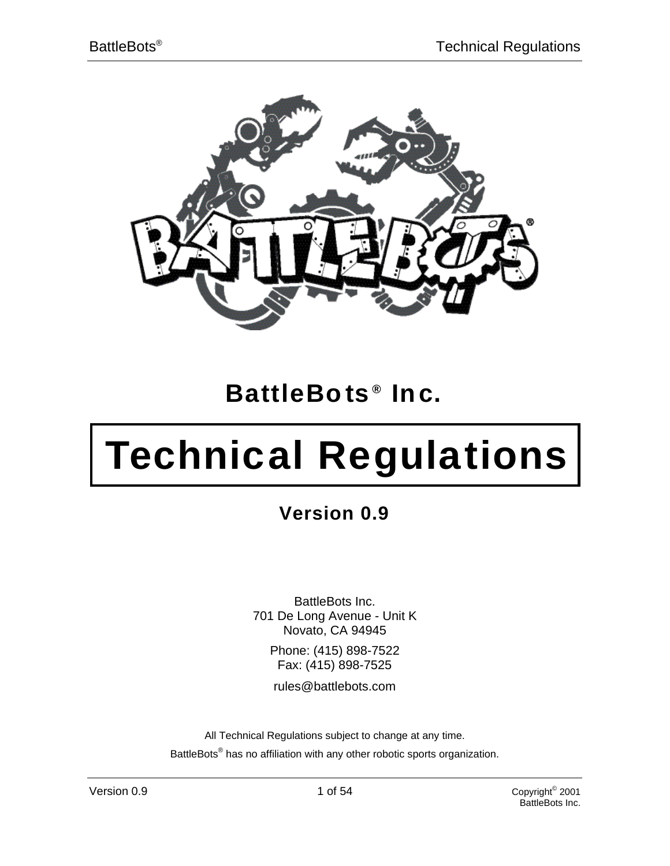

# **BattleBo ts ® Inc.**

# **Technical Regulations**

**Version 0.9**

BattleBots Inc. 701 De Long Avenue - Unit K Novato, CA 94945

> Phone: (415) 898-7522 Fax: (415) 898-7525

rules@battlebots.com

All Technical Regulations subject to change at any time. BattleBots<sup>®</sup> has no affiliation with any other robotic sports organization.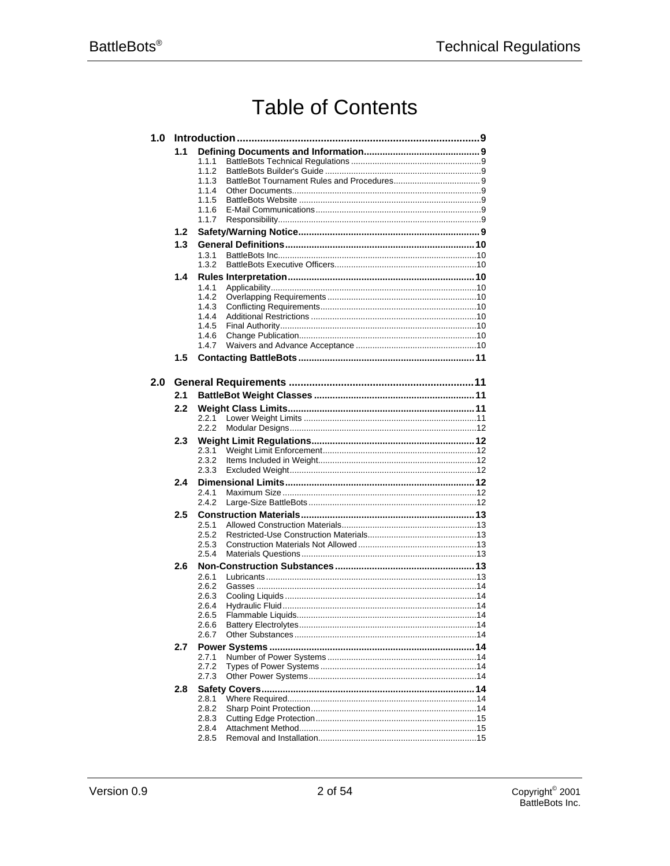# **Table of Contents**

| 1.0 |     |                |  |
|-----|-----|----------------|--|
|     | 1.1 | 1.1.1<br>1.1.2 |  |
|     |     | 1.1.3<br>1.1.4 |  |
|     |     | 1.1.5<br>1.1.6 |  |
|     |     | 1.1.7          |  |
|     | 1.2 |                |  |
|     | 1.3 |                |  |
|     |     | 1.3.1<br>1.3.2 |  |
|     | 1.4 |                |  |
|     |     | 1.4.1          |  |
|     |     | 1.4.2<br>1.4.3 |  |
|     |     | 1.4.4          |  |
|     |     | 1.4.5          |  |
|     |     | 1.4.6<br>1.4.7 |  |
|     | 1.5 |                |  |
| 2.0 |     |                |  |
|     | 2.1 |                |  |
|     | 2.2 |                |  |
|     |     | 2.2.1          |  |
|     | 2.3 | 2.2.2          |  |
|     |     | 2.3.1          |  |
|     |     | 2.3.2          |  |
|     | 2.4 | 2.3.3          |  |
|     |     | 2.4.1          |  |
|     |     | 2.4.2          |  |
|     | 2.5 |                |  |
|     |     | 2.5.1<br>2.5.2 |  |
|     |     | 2.5.3          |  |
|     |     | 2.5.4          |  |
|     | 2.6 | 2.6.1          |  |
|     |     | 2.6.2          |  |
|     |     | 2.6.3<br>2.6.4 |  |
|     |     | 2.6.5          |  |
|     |     | 2.6.6          |  |
|     |     | 2.6.7          |  |
|     | 2.7 | 2.7.1          |  |
|     |     | 2.7.2          |  |
|     |     | 2.7.3          |  |
|     | 2.8 | 2.8.1          |  |
|     |     | 2.8.2          |  |
|     |     | 2.8.3          |  |
|     |     | 2.8.4<br>2.8.5 |  |
|     |     |                |  |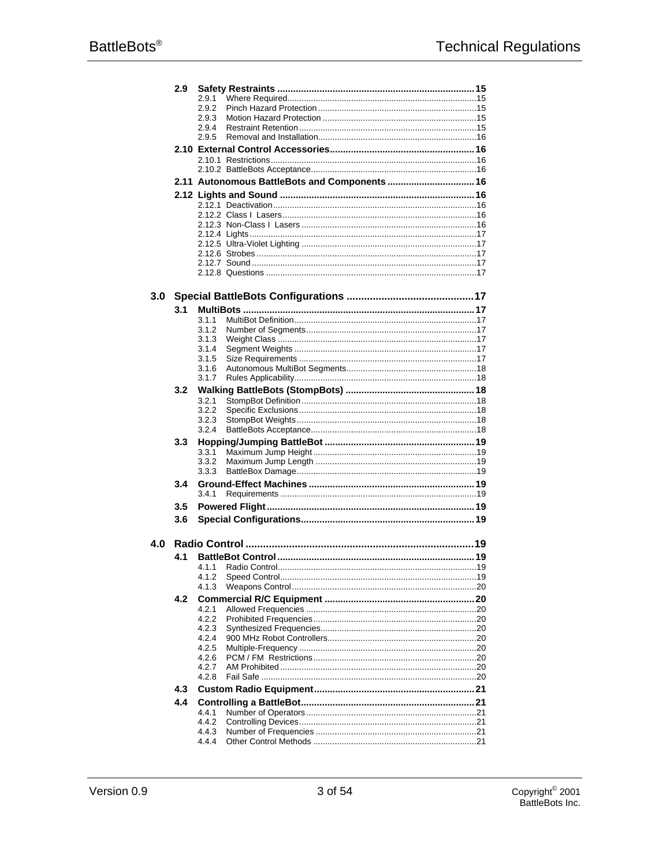|                  | 2.9              |                                               |  |
|------------------|------------------|-----------------------------------------------|--|
|                  |                  | 2.9.1                                         |  |
|                  |                  | 2.9.2                                         |  |
|                  |                  | 2.9.3                                         |  |
|                  |                  | 2.9.4                                         |  |
|                  |                  | 2.9.5                                         |  |
|                  |                  |                                               |  |
|                  |                  |                                               |  |
|                  |                  |                                               |  |
|                  |                  |                                               |  |
|                  |                  | 2.11 Autonomous BattleBots and Components  16 |  |
|                  |                  |                                               |  |
|                  |                  |                                               |  |
|                  |                  |                                               |  |
|                  |                  |                                               |  |
|                  |                  |                                               |  |
|                  |                  |                                               |  |
|                  |                  |                                               |  |
|                  |                  |                                               |  |
|                  |                  |                                               |  |
| 3.0 <sub>1</sub> |                  |                                               |  |
|                  |                  |                                               |  |
|                  | 3.1              |                                               |  |
|                  |                  | 3.1.1                                         |  |
|                  |                  | 3.1.2                                         |  |
|                  |                  | 3.1.3                                         |  |
|                  |                  | 3.1.4<br>3.1.5                                |  |
|                  |                  | 3.1.6                                         |  |
|                  |                  | 3.1.7                                         |  |
|                  | 3.2              |                                               |  |
|                  |                  | 3.2.1                                         |  |
|                  |                  | 3.2.2                                         |  |
|                  |                  | 3.2.3                                         |  |
|                  |                  | 3.2.4                                         |  |
|                  | 3.3              |                                               |  |
|                  |                  | 3.3.1                                         |  |
|                  |                  | 3.3.2                                         |  |
|                  |                  | 3.3.3                                         |  |
|                  | 3.4              |                                               |  |
|                  |                  | 3.4.1                                         |  |
|                  | $3.5\phantom{0}$ |                                               |  |
|                  | 3.6              |                                               |  |
|                  |                  |                                               |  |
|                  |                  |                                               |  |
| 4.0              |                  |                                               |  |
|                  | 4.1              |                                               |  |
|                  |                  |                                               |  |
|                  |                  | 4.1.2                                         |  |
|                  |                  | 4.1.3                                         |  |
|                  | 4.2              |                                               |  |
|                  |                  | 4.2.1                                         |  |
|                  |                  | 4.2.2                                         |  |
|                  |                  | 4.2.3                                         |  |
|                  |                  | 4.2.4                                         |  |
|                  |                  | 4.2.5                                         |  |
|                  |                  | 4.2.6<br>4.2.7                                |  |
|                  |                  | 4.2.8                                         |  |
|                  |                  |                                               |  |
|                  | 4.3              |                                               |  |
|                  | 4.4              |                                               |  |
|                  |                  | 4.4.1                                         |  |
|                  |                  | 4.4.2                                         |  |
|                  |                  | 4.4.3<br>4.4.4                                |  |
|                  |                  |                                               |  |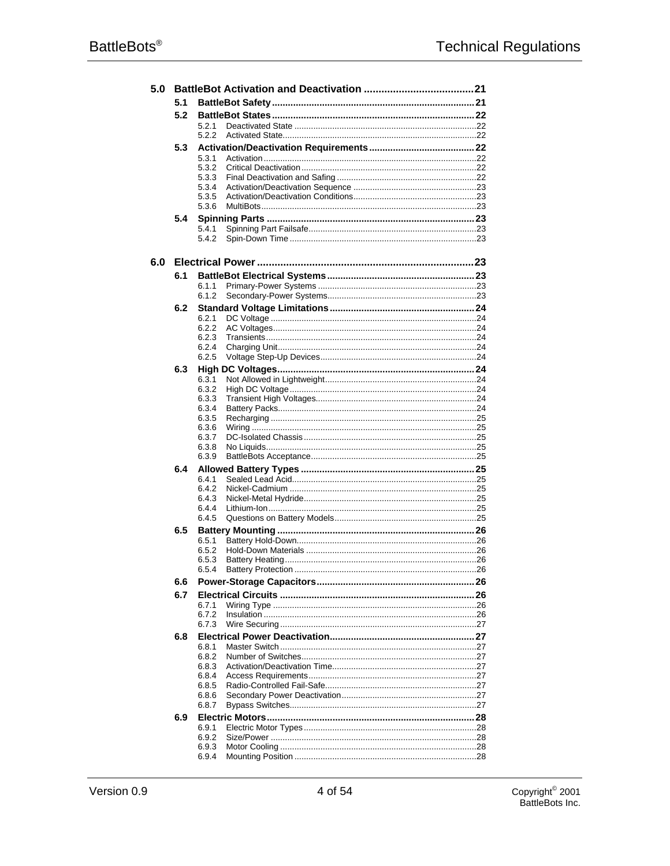| 5.0 |     |                |  |
|-----|-----|----------------|--|
|     | 5.1 |                |  |
|     | 5.2 |                |  |
|     |     | 5.2.1          |  |
|     |     | 5.2.2          |  |
|     | 5.3 |                |  |
|     |     | 5.3.1<br>5.3.2 |  |
|     |     | 5.3.3          |  |
|     |     | 5.3.4          |  |
|     |     | 5.3.5          |  |
|     |     | 5.3.6          |  |
|     | 5.4 |                |  |
|     |     | 5.4.1          |  |
|     |     | 5.4.2          |  |
| 6.0 |     |                |  |
|     | 6.1 |                |  |
|     |     | 6.1.1          |  |
|     |     | 6.1.2          |  |
|     | 6.2 |                |  |
|     |     | 6.2.1          |  |
|     |     | 6.2.2          |  |
|     |     | 6.2.3          |  |
|     |     | 6.2.4          |  |
|     |     | 6.2.5          |  |
|     | 6.3 |                |  |
|     |     | 6.3.1<br>6.3.2 |  |
|     |     | 6.3.3          |  |
|     |     | 6.3.4          |  |
|     |     | 6.3.5          |  |
|     |     | 6.3.6          |  |
|     |     | 6.3.7<br>6.3.8 |  |
|     |     | 6.3.9          |  |
|     | 6.4 |                |  |
|     |     | 6.4.1          |  |
|     |     | 6.4.2          |  |
|     |     | 6.4.3          |  |
|     |     | 6.4.4          |  |
|     |     | 6.4.5          |  |
|     | 6.5 | 6.5.1          |  |
|     |     | 6.5.2          |  |
|     |     | 6.5.3          |  |
|     |     | 6.5.4          |  |
|     | 6.6 |                |  |
|     | 6.7 |                |  |
|     |     | 6.7.1          |  |
|     |     | 6.7.2          |  |
|     |     | 6.7.3          |  |
|     | 6.8 |                |  |
|     |     | 6.8.1<br>6.8.2 |  |
|     |     | 6.8.3          |  |
|     |     | 6.8.4          |  |
|     |     | 6.8.5          |  |
|     |     | 6.8.6          |  |
|     |     | 6.8.7          |  |
|     | 6.9 |                |  |
|     |     | 6.9.1          |  |
|     |     | 6.9.2<br>6.9.3 |  |
|     |     | 6.9.4          |  |
|     |     |                |  |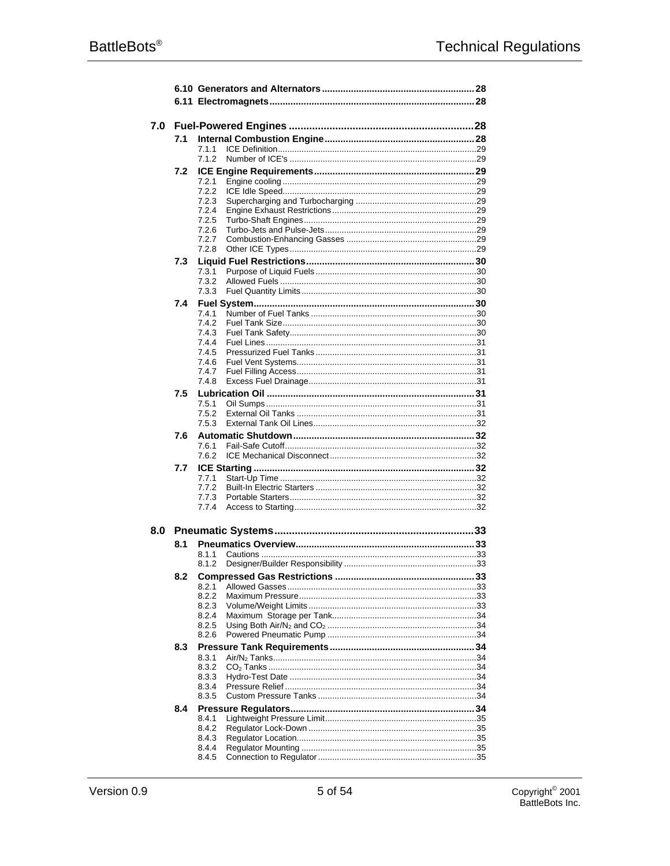| 7.0 |     |                |  |
|-----|-----|----------------|--|
|     | 7.1 | 7.1.1          |  |
|     |     | 7.1.2          |  |
|     | 7.2 |                |  |
|     |     | 7.2.1<br>7.2.2 |  |
|     |     | 7.2.3          |  |
|     |     | 7.2.4<br>7.2.5 |  |
|     |     | 7.2.6          |  |
|     |     | 7.2.7          |  |
|     | 7.3 | 7.2.8          |  |
|     |     | 7.3.1          |  |
|     |     | 7.3.2          |  |
|     | 7.4 | 7.3.3          |  |
|     |     | 7.4.1          |  |
|     |     | 7.4.2          |  |
|     |     | 7.4.3<br>7.4.4 |  |
|     |     | 7.4.5          |  |
|     |     | 7.4.6<br>7.4.7 |  |
|     |     | 7.4.8          |  |
|     | 7.5 |                |  |
|     |     | 7.5.1<br>7.5.2 |  |
|     |     | 7.5.3          |  |
|     | 7.6 |                |  |
|     |     | 7.6.1<br>7.6.2 |  |
|     | 7.7 |                |  |
|     |     | 7.7.1          |  |
|     |     | 7.7.2<br>7.7.3 |  |
|     |     | 7.7.4          |  |
| 8.0 |     |                |  |
|     | 8.1 |                |  |
|     |     | 8.1.1          |  |
|     |     | 8.1.2          |  |
|     | 8.2 | 8.2.1          |  |
|     |     | 8.2.2          |  |
|     |     | 8.2.3<br>8.2.4 |  |
|     |     | 8.2.5          |  |
|     |     | 8.2.6          |  |
|     | 8.3 | 8.3.1          |  |
|     |     | 8.3.2          |  |
|     |     | 8.3.3<br>8.3.4 |  |
|     |     | 8.3.5          |  |
|     | 8.4 |                |  |
|     |     | 8.4.1<br>8.4.2 |  |
|     |     | 8.4.3          |  |
|     |     | 8.4.4          |  |
|     |     | 8.4.5          |  |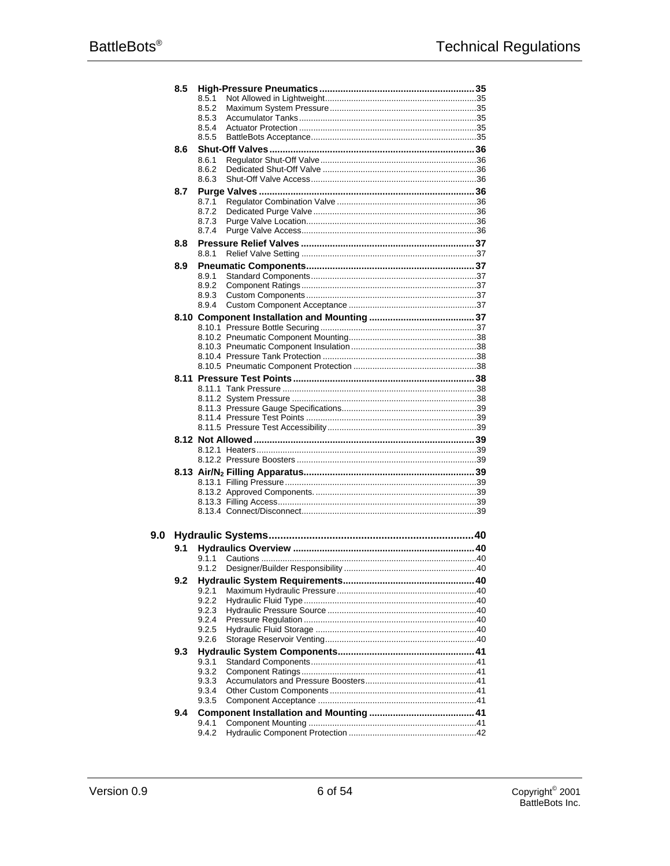|     | 8.5 |                |  |
|-----|-----|----------------|--|
|     |     | 8.5.1          |  |
|     |     | 8.5.2          |  |
|     |     | 8.5.3<br>8.5.4 |  |
|     |     | 8.5.5          |  |
|     | 8.6 |                |  |
|     |     | 8.6.1          |  |
|     |     | 8.6.2          |  |
|     |     | 8.6.3          |  |
|     | 8.7 |                |  |
|     |     | 8.7.1          |  |
|     |     | 8.7.2          |  |
|     |     | 8.7.3          |  |
|     |     | 8.7.4          |  |
|     | 8.8 |                |  |
|     |     | 8.8.1          |  |
|     | 8.9 |                |  |
|     |     | 8.9.1          |  |
|     |     | 8.9.2          |  |
|     |     | 8.9.3<br>8.9.4 |  |
|     |     |                |  |
|     |     |                |  |
|     |     |                |  |
|     |     |                |  |
|     |     |                |  |
|     |     |                |  |
|     |     |                |  |
|     |     |                |  |
|     |     |                |  |
|     |     |                |  |
|     |     |                |  |
|     |     |                |  |
|     |     |                |  |
|     |     |                |  |
|     |     |                |  |
|     |     |                |  |
|     |     |                |  |
|     |     |                |  |
|     |     |                |  |
|     |     |                |  |
| 9.0 |     |                |  |
|     | 9.1 |                |  |
|     |     | 9.1.1          |  |
|     |     | 9.1.2          |  |
|     | 9.2 |                |  |
|     |     | 9.2.1          |  |
|     |     | 9.2.2          |  |
|     |     | 9.2.3<br>9.2.4 |  |
|     |     | 9.2.5          |  |
|     |     | 9.2.6          |  |
|     | 9.3 |                |  |
|     |     | 9.3.1          |  |
|     |     | 9.3.2          |  |
|     |     | 9.3.3          |  |
|     |     | 9.3.4          |  |
|     |     | 9.3.5          |  |
|     | 9.4 |                |  |
|     |     | 9.4.1          |  |
|     |     | 9.4.2          |  |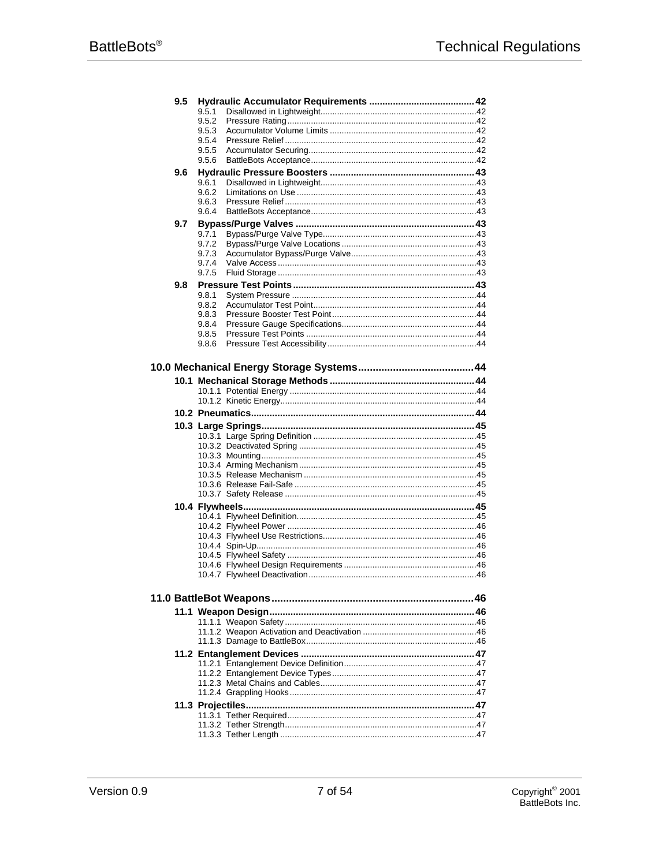| 9.5 |                |  |
|-----|----------------|--|
|     | 9.5.1          |  |
|     | 9.5.2          |  |
|     | 9.5.3          |  |
|     | 9.5.4<br>9.5.5 |  |
|     | 9.5.6          |  |
| 9.6 |                |  |
|     | 9.6.1          |  |
|     | 9.6.2          |  |
|     | 9.6.3          |  |
|     | 9.6.4          |  |
| 9.7 |                |  |
|     | 9.7.1          |  |
|     | 9.7.2          |  |
|     | 9.7.3<br>9.7.4 |  |
|     | 9.7.5          |  |
| 9.8 |                |  |
|     | 9.8.1          |  |
|     | 9.8.2          |  |
|     | 9.8.3          |  |
|     | 9.8.4          |  |
|     | 9.8.5          |  |
|     | 9.8.6          |  |
|     |                |  |
|     |                |  |
|     |                |  |
|     |                |  |
|     |                |  |
|     |                |  |
|     |                |  |
|     |                |  |
|     |                |  |
|     |                |  |
|     |                |  |
|     |                |  |
|     |                |  |
|     |                |  |
|     |                |  |
|     |                |  |
|     |                |  |
|     |                |  |
|     |                |  |
|     |                |  |
|     |                |  |
|     |                |  |
|     |                |  |
|     |                |  |
|     |                |  |
|     |                |  |
|     |                |  |
|     |                |  |
|     |                |  |
|     |                |  |
|     |                |  |
|     |                |  |
|     |                |  |
|     |                |  |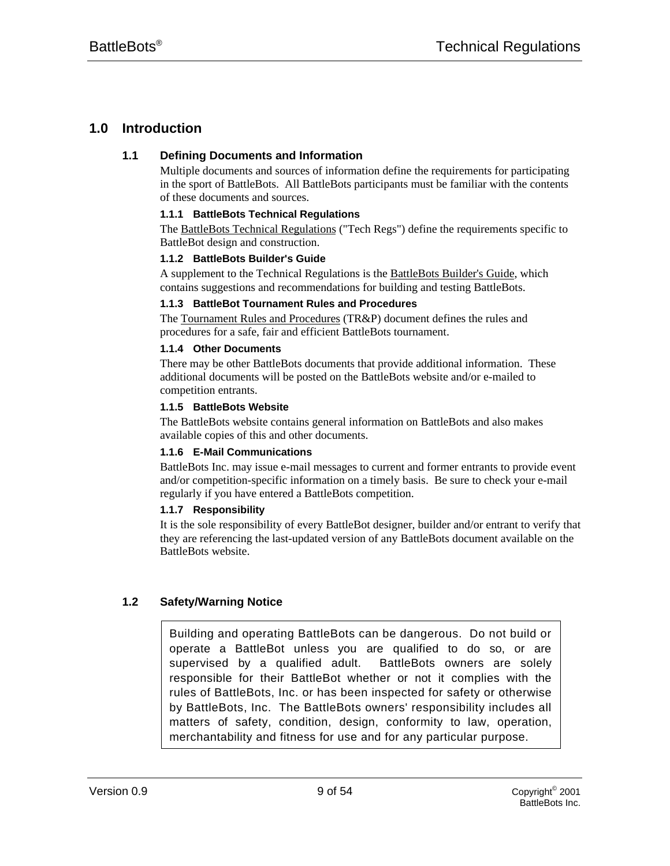# **1.0 Introduction**

# **1.1 Defining Documents and Information**

Multiple documents and sources of information define the requirements for participating in the sport of BattleBots. All BattleBots participants must be familiar with the contents of these documents and sources.

# **1.1.1 BattleBots Technical Regulations**

The BattleBots Technical Regulations ("Tech Regs") define the requirements specific to BattleBot design and construction.

# **1.1.2 BattleBots Builder's Guide**

A supplement to the Technical Regulations is the BattleBots Builder's Guide, which contains suggestions and recommendations for building and testing BattleBots.

# **1.1.3 BattleBot Tournament Rules and Procedures**

The Tournament Rules and Procedures (TR&P) document defines the rules and procedures for a safe, fair and efficient BattleBots tournament.

# **1.1.4 Other Documents**

There may be other BattleBots documents that provide additional information. These additional documents will be posted on the BattleBots website and/or e-mailed to competition entrants.

# **1.1.5 BattleBots Website**

The BattleBots website contains general information on BattleBots and also makes available copies of this and other documents.

# **1.1.6 E-Mail Communications**

BattleBots Inc. may issue e-mail messages to current and former entrants to provide event and/or competition-specific information on a timely basis. Be sure to check your e-mail regularly if you have entered a BattleBots competition.

# **1.1.7 Responsibility**

It is the sole responsibility of every BattleBot designer, builder and/or entrant to verify that they are referencing the last-updated version of any BattleBots document available on the BattleBots website.

# **1.2 Safety/Warning Notice**

Building and operating BattleBots can be dangerous. Do not build or operate a BattleBot unless you are qualified to do so, or are supervised by a qualified adult. BattleBots owners are solely responsible for their BattleBot whether or not it complies with the rules of BattleBots, Inc. or has been inspected for safety or otherwise by BattleBots, Inc. The BattleBots owners' responsibility includes all matters of safety, condition, design, conformity to law, operation, merchantability and fitness for use and for any particular purpose.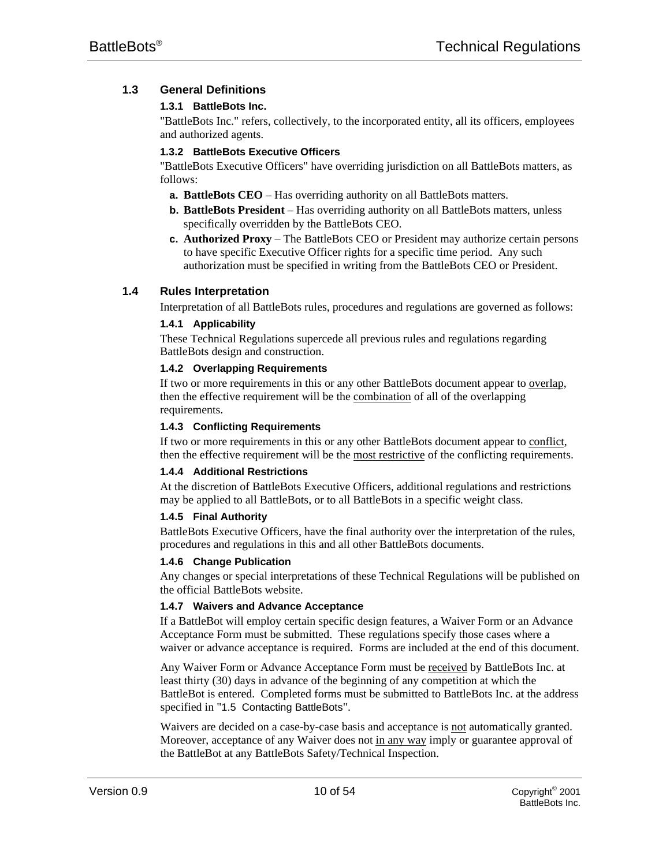# **1.3 General Definitions**

# **1.3.1 BattleBots Inc.**

"BattleBots Inc." refers, collectively, to the incorporated entity, all its officers, employees and authorized agents.

# **1.3.2 BattleBots Executive Officers**

"BattleBots Executive Officers" have overriding jurisdiction on all BattleBots matters, as follows:

- **a. BattleBots CEO** Has overriding authority on all BattleBots matters.
- **b. BattleBots President** Has overriding authority on all BattleBots matters, unless specifically overridden by the BattleBots CEO.
- **c. Authorized Proxy** The BattleBots CEO or President may authorize certain persons to have specific Executive Officer rights for a specific time period. Any such authorization must be specified in writing from the BattleBots CEO or President.

# **1.4 Rules Interpretation**

Interpretation of all BattleBots rules, procedures and regulations are governed as follows:

# **1.4.1 Applicability**

These Technical Regulations supercede all previous rules and regulations regarding BattleBots design and construction.

# **1.4.2 Overlapping Requirements**

If two or more requirements in this or any other BattleBots document appear to overlap, then the effective requirement will be the combination of all of the overlapping requirements.

# **1.4.3 Conflicting Requirements**

If two or more requirements in this or any other BattleBots document appear to conflict, then the effective requirement will be the most restrictive of the conflicting requirements.

#### **1.4.4 Additional Restrictions**

At the discretion of BattleBots Executive Officers, additional regulations and restrictions may be applied to all BattleBots, or to all BattleBots in a specific weight class.

#### **1.4.5 Final Authority**

BattleBots Executive Officers, have the final authority over the interpretation of the rules, procedures and regulations in this and all other BattleBots documents.

#### **1.4.6 Change Publication**

Any changes or special interpretations of these Technical Regulations will be published on the official BattleBots website.

#### **1.4.7 Waivers and Advance Acceptance**

If a BattleBot will employ certain specific design features, a Waiver Form or an Advance Acceptance Form must be submitted. These regulations specify those cases where a waiver or advance acceptance is required. Forms are included at the end of this document.

Any Waiver Form or Advance Acceptance Form must be received by BattleBots Inc. at least thirty (30) days in advance of the beginning of any competition at which the BattleBot is entered. Completed forms must be submitted to BattleBots Inc. at the address specified in "1.5 Contacting BattleBots".

Waivers are decided on a case-by-case basis and acceptance is not automatically granted. Moreover, acceptance of any Waiver does not in any way imply or guarantee approval of the BattleBot at any BattleBots Safety/Technical Inspection.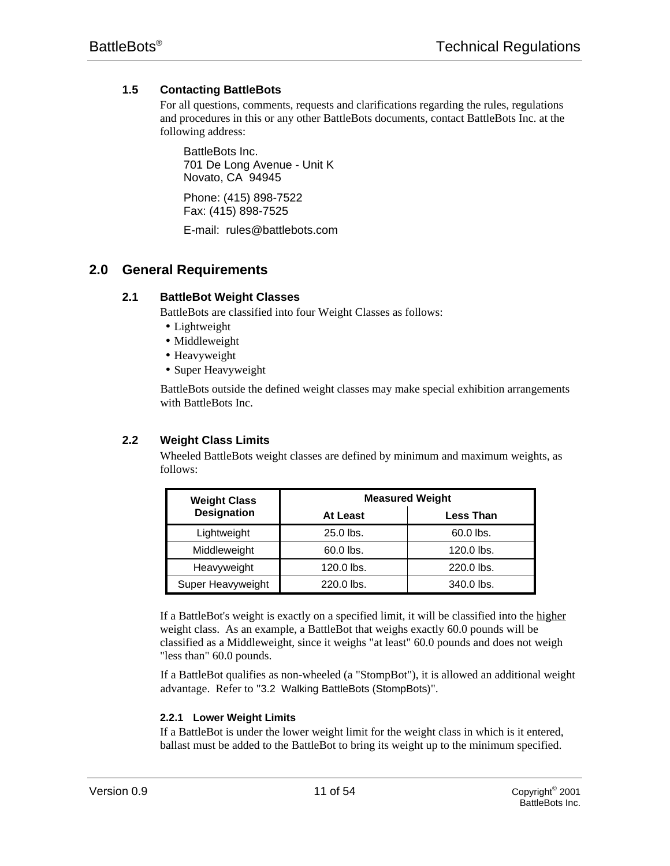# **1.5 Contacting BattleBots**

For all questions, comments, requests and clarifications regarding the rules, regulations and procedures in this or any other BattleBots documents, contact BattleBots Inc. at the following address:

BattleBots Inc. 701 De Long Avenue - Unit K Novato, CA 94945

Phone: (415) 898-7522 Fax: (415) 898-7525

E-mail: rules@battlebots.com

# **2.0 General Requirements**

# **2.1 BattleBot Weight Classes**

BattleBots are classified into four Weight Classes as follows:

- Lightweight
- Middleweight
- Heavyweight
- Super Heavyweight

BattleBots outside the defined weight classes may make special exhibition arrangements with BattleBots Inc.

# **2.2 Weight Class Limits**

Wheeled BattleBots weight classes are defined by minimum and maximum weights, as follows:

| <b>Weight Class</b> | <b>Measured Weight</b> |                  |  |
|---------------------|------------------------|------------------|--|
| <b>Designation</b>  | At Least               | <b>Less Than</b> |  |
| Lightweight         | 25.0 lbs.              | 60.0 lbs.        |  |
| Middleweight        | 60.0 lbs.              | 120.0 lbs.       |  |
| Heavyweight         | 120.0 lbs.             | 220.0 lbs.       |  |
| Super Heavyweight   | 220.0 lbs.             | 340.0 lbs.       |  |

If a BattleBot's weight is exactly on a specified limit, it will be classified into the higher weight class. As an example, a BattleBot that weighs exactly 60.0 pounds will be classified as a Middleweight, since it weighs "at least" 60.0 pounds and does not weigh "less than" 60.0 pounds.

If a BattleBot qualifies as non-wheeled (a "StompBot"), it is allowed an additional weight advantage. Refer to "3.2 Walking BattleBots (StompBots)".

# **2.2.1 Lower Weight Limits**

If a BattleBot is under the lower weight limit for the weight class in which is it entered, ballast must be added to the BattleBot to bring its weight up to the minimum specified.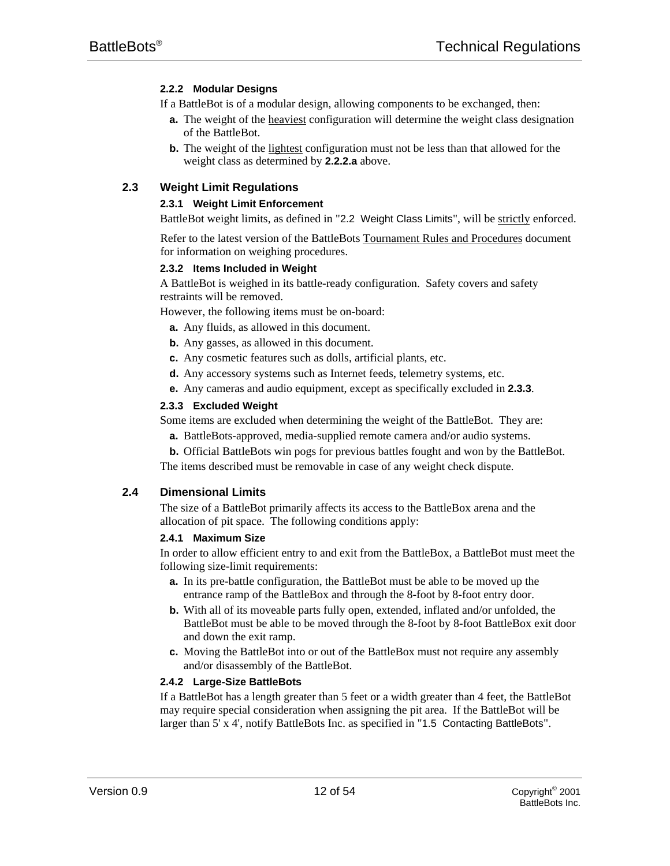# **2.2.2 Modular Designs**

- If a BattleBot is of a modular design, allowing components to be exchanged, then:
	- **a.** The weight of the heaviest configuration will determine the weight class designation of the BattleBot.
	- **b.** The weight of the lightest configuration must not be less than that allowed for the weight class as determined by **2.2.2.a** above.

# **2.3 Weight Limit Regulations**

# **2.3.1 Weight Limit Enforcement**

BattleBot weight limits, as defined in "2.2 Weight Class Limits", will be strictly enforced.

Refer to the latest version of the BattleBots Tournament Rules and Procedures document for information on weighing procedures.

# **2.3.2 Items Included in Weight**

A BattleBot is weighed in its battle-ready configuration. Safety covers and safety restraints will be removed.

However, the following items must be on-board:

- **a.** Any fluids, as allowed in this document.
- **b.** Any gasses, as allowed in this document.
- **c.** Any cosmetic features such as dolls, artificial plants, etc.
- **d.** Any accessory systems such as Internet feeds, telemetry systems, etc.
- **e.** Any cameras and audio equipment, except as specifically excluded in **2.3.3**.

#### **2.3.3 Excluded Weight**

Some items are excluded when determining the weight of the BattleBot. They are:

- **a.** BattleBots-approved, media-supplied remote camera and/or audio systems.
- **b.** Official BattleBots win pogs for previous battles fought and won by the BattleBot.

The items described must be removable in case of any weight check dispute.

#### **2.4 Dimensional Limits**

The size of a BattleBot primarily affects its access to the BattleBox arena and the allocation of pit space. The following conditions apply:

#### **2.4.1 Maximum Size**

In order to allow efficient entry to and exit from the BattleBox, a BattleBot must meet the following size-limit requirements:

- **a.** In its pre-battle configuration, the BattleBot must be able to be moved up the entrance ramp of the BattleBox and through the 8-foot by 8-foot entry door.
- **b.** With all of its moveable parts fully open, extended, inflated and/or unfolded, the BattleBot must be able to be moved through the 8-foot by 8-foot BattleBox exit door and down the exit ramp.
- **c.** Moving the BattleBot into or out of the BattleBox must not require any assembly and/or disassembly of the BattleBot.

#### **2.4.2 Large-Size BattleBots**

If a BattleBot has a length greater than 5 feet or a width greater than 4 feet, the BattleBot may require special consideration when assigning the pit area. If the BattleBot will be larger than 5' x 4', notify BattleBots Inc. as specified in "1.5 Contacting BattleBots".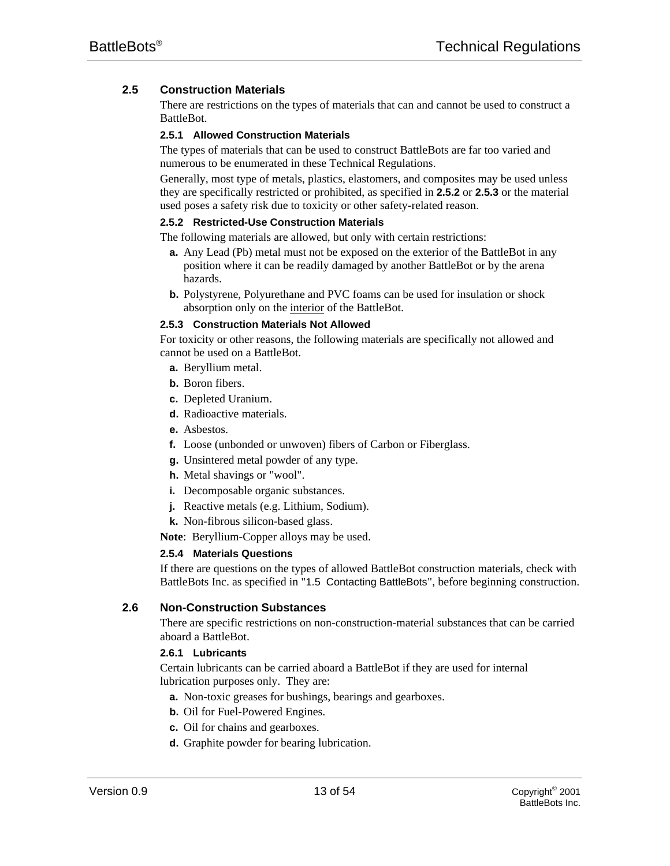# **2.5 Construction Materials**

There are restrictions on the types of materials that can and cannot be used to construct a BattleBot.

#### **2.5.1 Allowed Construction Materials**

The types of materials that can be used to construct BattleBots are far too varied and numerous to be enumerated in these Technical Regulations.

Generally, most type of metals, plastics, elastomers, and composites may be used unless they are specifically restricted or prohibited, as specified in **2.5.2** or **2.5.3** or the material used poses a safety risk due to toxicity or other safety-related reason.

#### **2.5.2 Restricted-Use Construction Materials**

The following materials are allowed, but only with certain restrictions:

- **a.** Any Lead (Pb) metal must not be exposed on the exterior of the BattleBot in any position where it can be readily damaged by another BattleBot or by the arena hazards.
- **b.** Polystyrene, Polyurethane and PVC foams can be used for insulation or shock absorption only on the interior of the BattleBot.

# **2.5.3 Construction Materials Not Allowed**

For toxicity or other reasons, the following materials are specifically not allowed and cannot be used on a BattleBot.

- **a.** Beryllium metal.
- **b.** Boron fibers.
- **c.** Depleted Uranium.
- **d.** Radioactive materials.
- **e.** Asbestos.
- **f.** Loose (unbonded or unwoven) fibers of Carbon or Fiberglass.
- **g.** Unsintered metal powder of any type.
- **h.** Metal shavings or "wool".
- **i.** Decomposable organic substances.
- **j.** Reactive metals (e.g. Lithium, Sodium).
- **k.** Non-fibrous silicon-based glass.
- **Note**: Beryllium-Copper alloys may be used.

#### **2.5.4 Materials Questions**

If there are questions on the types of allowed BattleBot construction materials, check with BattleBots Inc. as specified in "1.5 Contacting BattleBots", before beginning construction.

# **2.6 Non-Construction Substances**

There are specific restrictions on non-construction-material substances that can be carried aboard a BattleBot.

# **2.6.1 Lubricants**

Certain lubricants can be carried aboard a BattleBot if they are used for internal lubrication purposes only. They are:

- **a.** Non-toxic greases for bushings, bearings and gearboxes.
- **b.** Oil for Fuel-Powered Engines.
- **c.** Oil for chains and gearboxes.
- **d.** Graphite powder for bearing lubrication.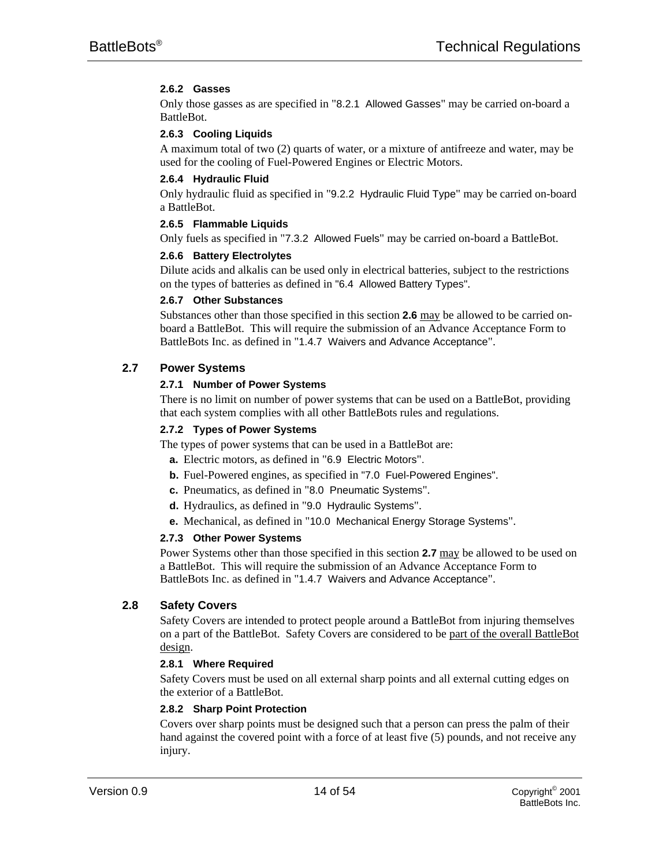# **2.6.2 Gasses**

Only those gasses as are specified in "8.2.1 Allowed Gasses" may be carried on-board a BattleBot.

# **2.6.3 Cooling Liquids**

A maximum total of two (2) quarts of water, or a mixture of antifreeze and water, may be used for the cooling of Fuel-Powered Engines or Electric Motors.

#### **2.6.4 Hydraulic Fluid**

Only hydraulic fluid as specified in "9.2.2 Hydraulic Fluid Type" may be carried on-board a BattleBot.

# **2.6.5 Flammable Liquids**

Only fuels as specified in "7.3.2 Allowed Fuels" may be carried on-board a BattleBot.

# **2.6.6 Battery Electrolytes**

Dilute acids and alkalis can be used only in electrical batteries, subject to the restrictions on the types of batteries as defined in "6.4 Allowed Battery Types".

#### **2.6.7 Other Substances**

Substances other than those specified in this section **2.6** may be allowed to be carried onboard a BattleBot. This will require the submission of an Advance Acceptance Form to BattleBots Inc. as defined in "1.4.7 Waivers and Advance Acceptance".

# **2.7 Power Systems**

# **2.7.1 Number of Power Systems**

There is no limit on number of power systems that can be used on a BattleBot, providing that each system complies with all other BattleBots rules and regulations.

#### **2.7.2 Types of Power Systems**

The types of power systems that can be used in a BattleBot are:

- **a.** Electric motors, as defined in "6.9 Electric Motors".
- **b.** Fuel-Powered engines, as specified in "7.0 Fuel-Powered Engines".
- **c.** Pneumatics, as defined in "8.0 Pneumatic Systems".
- **d.** Hydraulics, as defined in "9.0 Hydraulic Systems".
- **e.** Mechanical, as defined in "10.0 Mechanical Energy Storage Systems".

#### **2.7.3 Other Power Systems**

Power Systems other than those specified in this section 2.7 may be allowed to be used on a BattleBot. This will require the submission of an Advance Acceptance Form to BattleBots Inc. as defined in "1.4.7 Waivers and Advance Acceptance".

# **2.8 Safety Covers**

Safety Covers are intended to protect people around a BattleBot from injuring themselves on a part of the BattleBot. Safety Covers are considered to be part of the overall BattleBot design.

#### **2.8.1 Where Required**

Safety Covers must be used on all external sharp points and all external cutting edges on the exterior of a BattleBot.

#### **2.8.2 Sharp Point Protection**

Covers over sharp points must be designed such that a person can press the palm of their hand against the covered point with a force of at least five (5) pounds, and not receive any injury.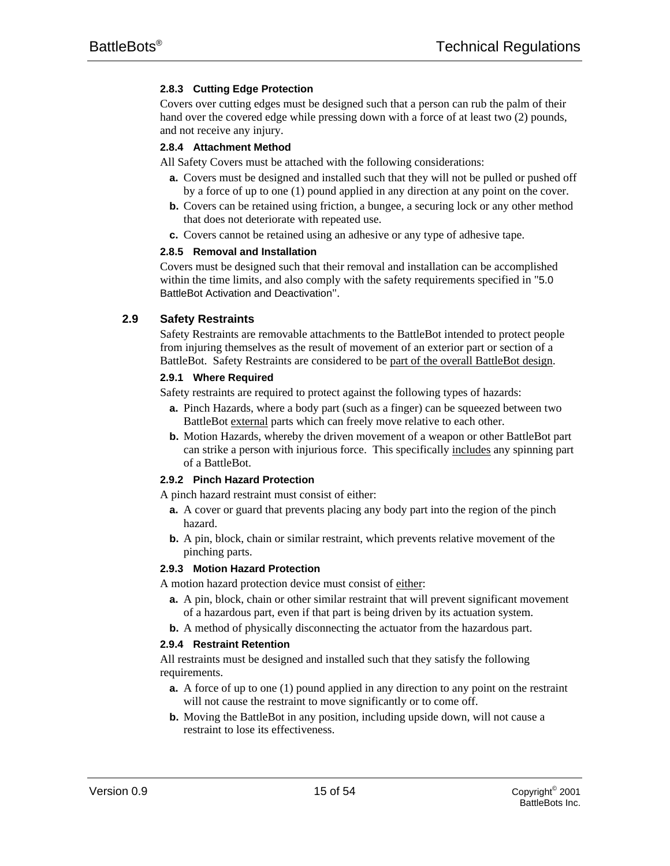# **2.8.3 Cutting Edge Protection**

Covers over cutting edges must be designed such that a person can rub the palm of their hand over the covered edge while pressing down with a force of at least two (2) pounds, and not receive any injury.

# **2.8.4 Attachment Method**

All Safety Covers must be attached with the following considerations:

- **a.** Covers must be designed and installed such that they will not be pulled or pushed off by a force of up to one (1) pound applied in any direction at any point on the cover.
- **b.** Covers can be retained using friction, a bungee, a securing lock or any other method that does not deteriorate with repeated use.
- **c.** Covers cannot be retained using an adhesive or any type of adhesive tape.

#### **2.8.5 Removal and Installation**

Covers must be designed such that their removal and installation can be accomplished within the time limits, and also comply with the safety requirements specified in "5.0 BattleBot Activation and Deactivation".

# **2.9 Safety Restraints**

Safety Restraints are removable attachments to the BattleBot intended to protect people from injuring themselves as the result of movement of an exterior part or section of a BattleBot. Safety Restraints are considered to be part of the overall BattleBot design.

#### **2.9.1 Where Required**

Safety restraints are required to protect against the following types of hazards:

- **a.** Pinch Hazards, where a body part (such as a finger) can be squeezed between two BattleBot external parts which can freely move relative to each other.
- **b.** Motion Hazards, whereby the driven movement of a weapon or other BattleBot part can strike a person with injurious force. This specifically includes any spinning part of a BattleBot.

#### **2.9.2 Pinch Hazard Protection**

A pinch hazard restraint must consist of either:

- **a.** A cover or guard that prevents placing any body part into the region of the pinch hazard.
- **b.** A pin, block, chain or similar restraint, which prevents relative movement of the pinching parts.

#### **2.9.3 Motion Hazard Protection**

A motion hazard protection device must consist of either:

- **a.** A pin, block, chain or other similar restraint that will prevent significant movement of a hazardous part, even if that part is being driven by its actuation system.
- **b.** A method of physically disconnecting the actuator from the hazardous part.

# **2.9.4 Restraint Retention**

All restraints must be designed and installed such that they satisfy the following requirements.

- **a.** A force of up to one (1) pound applied in any direction to any point on the restraint will not cause the restraint to move significantly or to come off.
- **b.** Moving the BattleBot in any position, including upside down, will not cause a restraint to lose its effectiveness.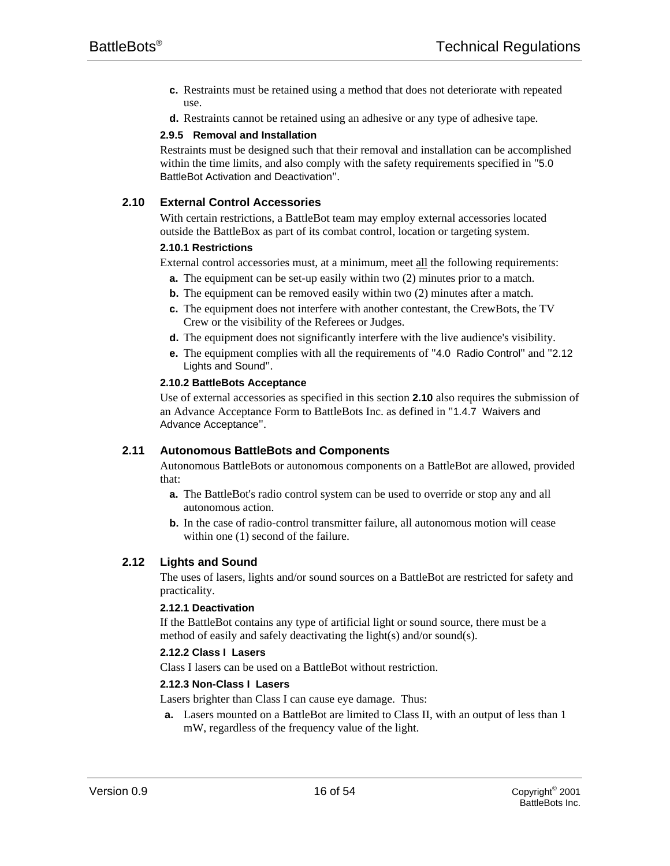- **c.** Restraints must be retained using a method that does not deteriorate with repeated use.
- **d.** Restraints cannot be retained using an adhesive or any type of adhesive tape.

#### **2.9.5 Removal and Installation**

Restraints must be designed such that their removal and installation can be accomplished within the time limits, and also comply with the safety requirements specified in "5.0 BattleBot Activation and Deactivation".

# **2.10 External Control Accessories**

With certain restrictions, a BattleBot team may employ external accessories located outside the BattleBox as part of its combat control, location or targeting system.

#### **2.10.1 Restrictions**

External control accessories must, at a minimum, meet all the following requirements:

- **a.** The equipment can be set-up easily within two (2) minutes prior to a match.
- **b.** The equipment can be removed easily within two (2) minutes after a match.
- **c.** The equipment does not interfere with another contestant, the CrewBots, the TV Crew or the visibility of the Referees or Judges.
- **d.** The equipment does not significantly interfere with the live audience's visibility.
- **e.** The equipment complies with all the requirements of "4.0 Radio Control" and "2.12 Lights and Sound".

#### **2.10.2 BattleBots Acceptance**

Use of external accessories as specified in this section **2.10** also requires the submission of an Advance Acceptance Form to BattleBots Inc. as defined in "1.4.7 Waivers and Advance Acceptance".

#### **2.11 Autonomous BattleBots and Components**

Autonomous BattleBots or autonomous components on a BattleBot are allowed, provided that:

- **a.** The BattleBot's radio control system can be used to override or stop any and all autonomous action.
- **b.** In the case of radio-control transmitter failure, all autonomous motion will cease within one (1) second of the failure.

# **2.12 Lights and Sound**

The uses of lasers, lights and/or sound sources on a BattleBot are restricted for safety and practicality.

#### **2.12.1 Deactivation**

If the BattleBot contains any type of artificial light or sound source, there must be a method of easily and safely deactivating the light(s) and/or sound(s).

#### **2.12.2 Class I Lasers**

Class I lasers can be used on a BattleBot without restriction.

#### **2.12.3 Non-Class I Lasers**

Lasers brighter than Class I can cause eye damage. Thus:

**a.** Lasers mounted on a BattleBot are limited to Class II, with an output of less than 1 mW, regardless of the frequency value of the light.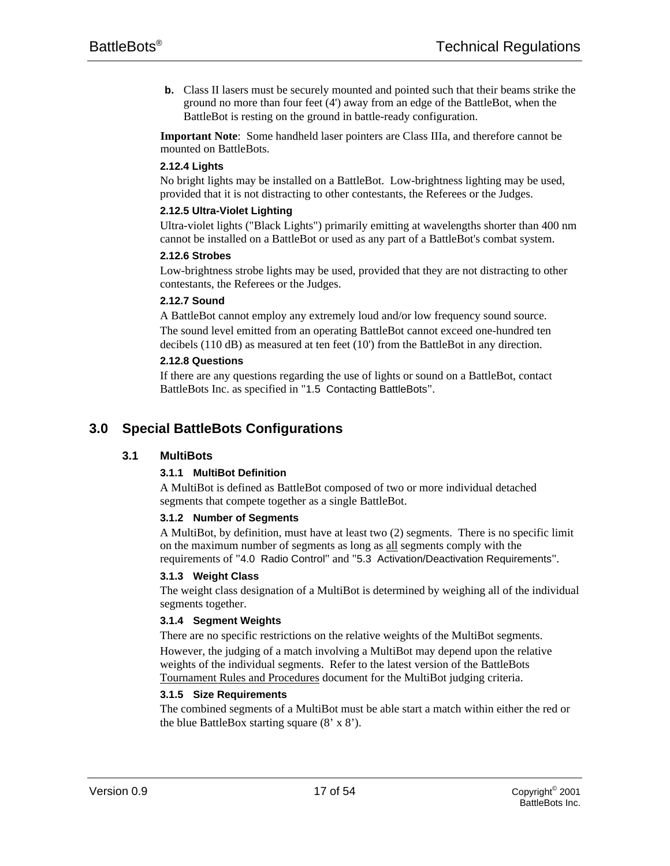**b.** Class II lasers must be securely mounted and pointed such that their beams strike the ground no more than four feet (4') away from an edge of the BattleBot, when the BattleBot is resting on the ground in battle-ready configuration.

**Important Note**: Some handheld laser pointers are Class IIIa, and therefore cannot be mounted on BattleBots.

#### **2.12.4 Lights**

No bright lights may be installed on a BattleBot. Low-brightness lighting may be used, provided that it is not distracting to other contestants, the Referees or the Judges.

#### **2.12.5 Ultra-Violet Lighting**

Ultra-violet lights ("Black Lights") primarily emitting at wavelengths shorter than 400 nm cannot be installed on a BattleBot or used as any part of a BattleBot's combat system.

# **2.12.6 Strobes**

Low-brightness strobe lights may be used, provided that they are not distracting to other contestants, the Referees or the Judges.

#### **2.12.7 Sound**

A BattleBot cannot employ any extremely loud and/or low frequency sound source. The sound level emitted from an operating BattleBot cannot exceed one-hundred ten decibels (110 dB) as measured at ten feet (10') from the BattleBot in any direction.

#### **2.12.8 Questions**

If there are any questions regarding the use of lights or sound on a BattleBot, contact BattleBots Inc. as specified in "1.5 Contacting BattleBots".

# **3.0 Special BattleBots Configurations**

# **3.1 MultiBots**

# **3.1.1 MultiBot Definition**

A MultiBot is defined as BattleBot composed of two or more individual detached segments that compete together as a single BattleBot.

#### **3.1.2 Number of Segments**

A MultiBot, by definition, must have at least two (2) segments. There is no specific limit on the maximum number of segments as long as all segments comply with the requirements of "4.0 Radio Control" and "5.3 Activation/Deactivation Requirements".

#### **3.1.3 Weight Class**

The weight class designation of a MultiBot is determined by weighing all of the individual segments together.

#### **3.1.4 Segment Weights**

There are no specific restrictions on the relative weights of the MultiBot segments. However, the judging of a match involving a MultiBot may depend upon the relative weights of the individual segments. Refer to the latest version of the BattleBots Tournament Rules and Procedures document for the MultiBot judging criteria.

#### **3.1.5 Size Requirements**

The combined segments of a MultiBot must be able start a match within either the red or the blue BattleBox starting square (8' x 8').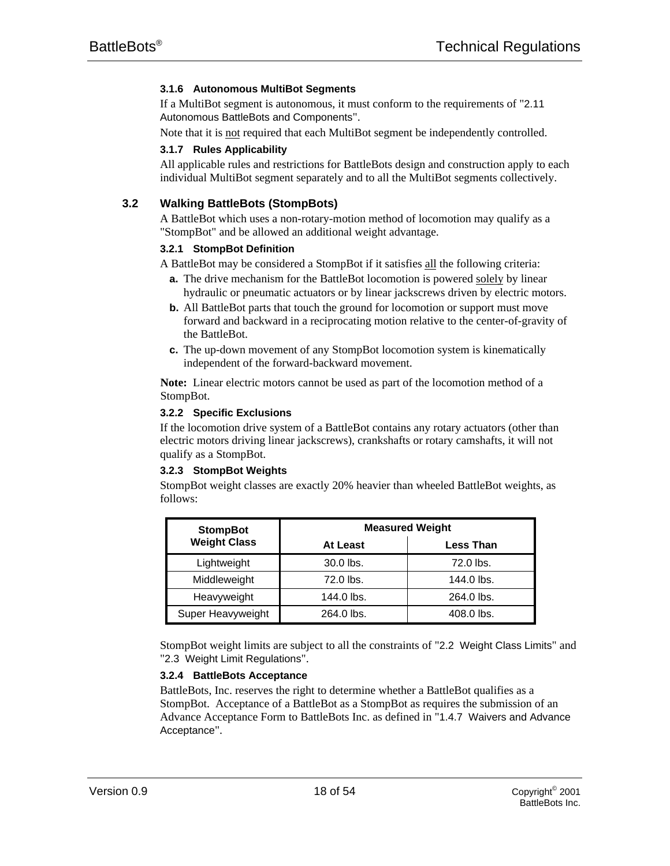# **3.1.6 Autonomous MultiBot Segments**

If a MultiBot segment is autonomous, it must conform to the requirements of "2.11 Autonomous BattleBots and Components".

Note that it is not required that each MultiBot segment be independently controlled.

#### **3.1.7 Rules Applicability**

All applicable rules and restrictions for BattleBots design and construction apply to each individual MultiBot segment separately and to all the MultiBot segments collectively.

# **3.2 Walking BattleBots (StompBots)**

A BattleBot which uses a non-rotary-motion method of locomotion may qualify as a "StompBot" and be allowed an additional weight advantage.

#### **3.2.1 StompBot Definition**

A BattleBot may be considered a StompBot if it satisfies all the following criteria:

- **a.** The drive mechanism for the BattleBot locomotion is powered solely by linear hydraulic or pneumatic actuators or by linear jackscrews driven by electric motors.
- **b.** All BattleBot parts that touch the ground for locomotion or support must move forward and backward in a reciprocating motion relative to the center-of-gravity of the BattleBot.
- **c.** The up-down movement of any StompBot locomotion system is kinematically independent of the forward-backward movement.

**Note:** Linear electric motors cannot be used as part of the locomotion method of a StompBot.

#### **3.2.2 Specific Exclusions**

If the locomotion drive system of a BattleBot contains any rotary actuators (other than electric motors driving linear jackscrews), crankshafts or rotary camshafts, it will not qualify as a StompBot.

#### **3.2.3 StompBot Weights**

StompBot weight classes are exactly 20% heavier than wheeled BattleBot weights, as follows:

| <b>StompBot</b>     | <b>Measured Weight</b> |                  |  |
|---------------------|------------------------|------------------|--|
| <b>Weight Class</b> | <b>At Least</b>        | <b>Less Than</b> |  |
| Lightweight         | 30.0 lbs.              | 72.0 lbs.        |  |
| Middleweight        | 72.0 lbs.              | 144.0 lbs.       |  |
| Heavyweight         | 144.0 lbs.             | 264.0 lbs.       |  |
| Super Heavyweight   | 264.0 lbs.             | 408.0 lbs.       |  |

StompBot weight limits are subject to all the constraints of "2.2 Weight Class Limits" and "2.3 Weight Limit Regulations".

#### **3.2.4 BattleBots Acceptance**

BattleBots, Inc. reserves the right to determine whether a BattleBot qualifies as a StompBot. Acceptance of a BattleBot as a StompBot as requires the submission of an Advance Acceptance Form to BattleBots Inc. as defined in "1.4.7 Waivers and Advance Acceptance".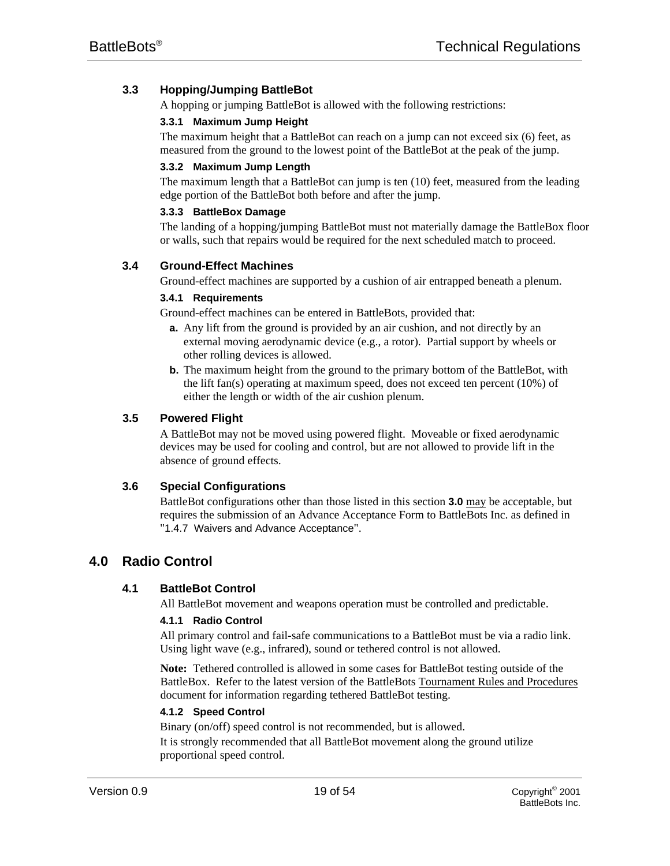# **3.3 Hopping/Jumping BattleBot**

A hopping or jumping BattleBot is allowed with the following restrictions:

# **3.3.1 Maximum Jump Height**

The maximum height that a BattleBot can reach on a jump can not exceed six (6) feet, as measured from the ground to the lowest point of the BattleBot at the peak of the jump.

# **3.3.2 Maximum Jump Length**

The maximum length that a BattleBot can jump is ten (10) feet, measured from the leading edge portion of the BattleBot both before and after the jump.

#### **3.3.3 BattleBox Damage**

The landing of a hopping/jumping BattleBot must not materially damage the BattleBox floor or walls, such that repairs would be required for the next scheduled match to proceed.

# **3.4 Ground-Effect Machines**

Ground-effect machines are supported by a cushion of air entrapped beneath a plenum.

# **3.4.1 Requirements**

Ground-effect machines can be entered in BattleBots, provided that:

- **a.** Any lift from the ground is provided by an air cushion, and not directly by an external moving aerodynamic device (e.g., a rotor). Partial support by wheels or other rolling devices is allowed.
- **b.** The maximum height from the ground to the primary bottom of the BattleBot, with the lift fan(s) operating at maximum speed, does not exceed ten percent  $(10\%)$  of either the length or width of the air cushion plenum.

# **3.5 Powered Flight**

A BattleBot may not be moved using powered flight. Moveable or fixed aerodynamic devices may be used for cooling and control, but are not allowed to provide lift in the absence of ground effects.

# **3.6 Special Configurations**

BattleBot configurations other than those listed in this section **3.0** may be acceptable, but requires the submission of an Advance Acceptance Form to BattleBots Inc. as defined in "1.4.7 Waivers and Advance Acceptance".

# **4.0 Radio Control**

# **4.1 BattleBot Control**

All BattleBot movement and weapons operation must be controlled and predictable.

# **4.1.1 Radio Control**

All primary control and fail-safe communications to a BattleBot must be via a radio link. Using light wave (e.g., infrared), sound or tethered control is not allowed.

**Note:** Tethered controlled is allowed in some cases for BattleBot testing outside of the BattleBox. Refer to the latest version of the BattleBots Tournament Rules and Procedures document for information regarding tethered BattleBot testing.

# **4.1.2 Speed Control**

Binary (on/off) speed control is not recommended, but is allowed. It is strongly recommended that all BattleBot movement along the ground utilize

proportional speed control.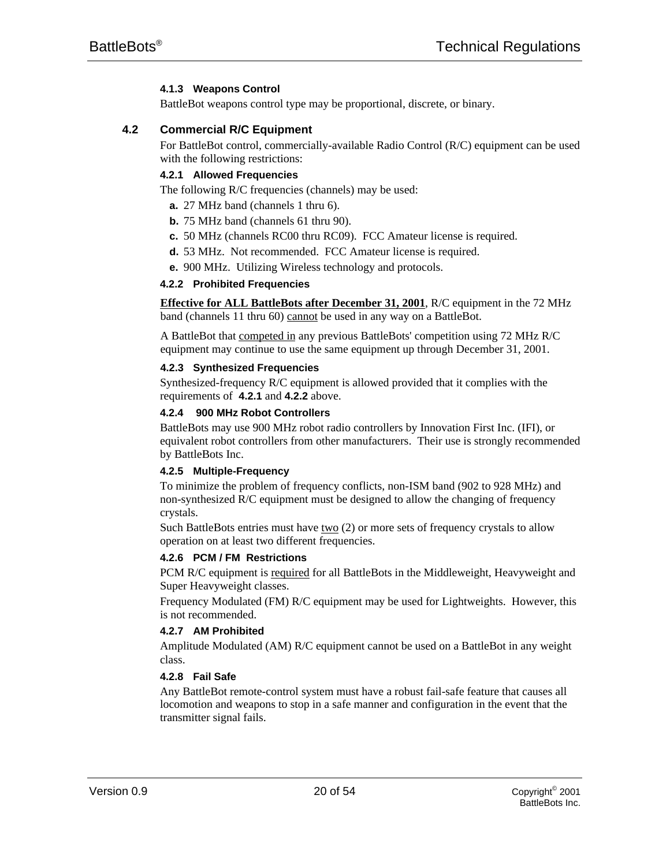# **4.1.3 Weapons Control**

BattleBot weapons control type may be proportional, discrete, or binary.

# **4.2 Commercial R/C Equipment**

For BattleBot control, commercially-available Radio Control (R/C) equipment can be used with the following restrictions:

# **4.2.1 Allowed Frequencies**

The following R/C frequencies (channels) may be used:

- **a.** 27 MHz band (channels 1 thru 6).
- **b.** 75 MHz band (channels 61 thru 90).
- **c.** 50 MHz (channels RC00 thru RC09). FCC Amateur license is required.
- **d.** 53 MHz. Not recommended. FCC Amateur license is required.
- **e.** 900 MHz. Utilizing Wireless technology and protocols.

# **4.2.2 Prohibited Frequencies**

**Effective for ALL BattleBots after December 31, 2001**, R/C equipment in the 72 MHz band (channels 11 thru 60) cannot be used in any way on a BattleBot.

A BattleBot that competed in any previous BattleBots' competition using 72 MHz R/C equipment may continue to use the same equipment up through December 31, 2001.

# **4.2.3 Synthesized Frequencies**

Synthesized-frequency R/C equipment is allowed provided that it complies with the requirements of **4.2.1** and **4.2.2** above.

# **4.2.4 900 MHz Robot Controllers**

BattleBots may use 900 MHz robot radio controllers by Innovation First Inc. (IFI), or equivalent robot controllers from other manufacturers. Their use is strongly recommended by BattleBots Inc.

#### **4.2.5 Multiple-Frequency**

To minimize the problem of frequency conflicts, non-ISM band (902 to 928 MHz) and non-synthesized R/C equipment must be designed to allow the changing of frequency crystals.

Such BattleBots entries must have  $\underline{two}$  (2) or more sets of frequency crystals to allow operation on at least two different frequencies.

# **4.2.6 PCM / FM Restrictions**

PCM R/C equipment is required for all BattleBots in the Middleweight, Heavyweight and Super Heavyweight classes.

Frequency Modulated (FM) R/C equipment may be used for Lightweights. However, this is not recommended.

#### **4.2.7 AM Prohibited**

Amplitude Modulated (AM) R/C equipment cannot be used on a BattleBot in any weight class.

# **4.2.8 Fail Safe**

Any BattleBot remote-control system must have a robust fail-safe feature that causes all locomotion and weapons to stop in a safe manner and configuration in the event that the transmitter signal fails.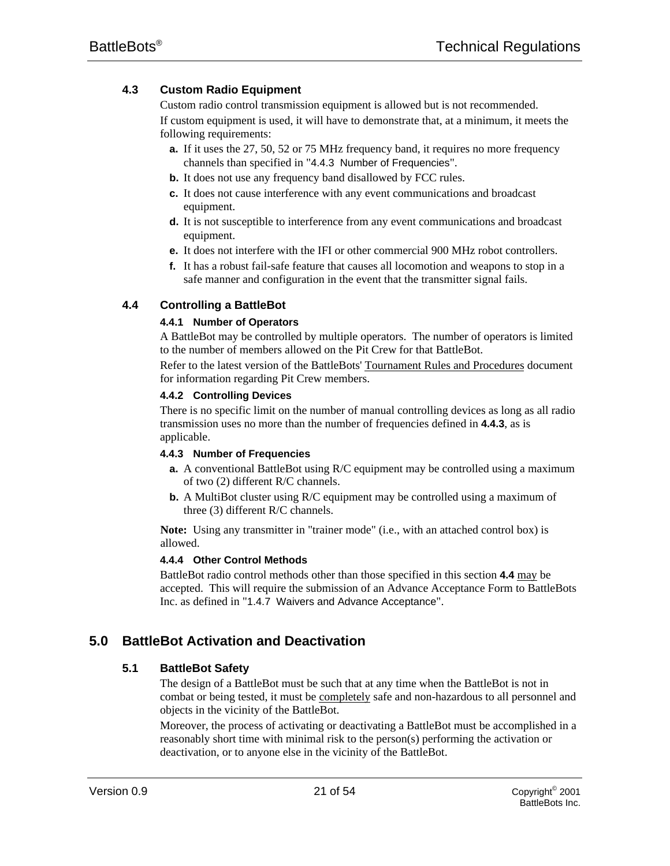# **4.3 Custom Radio Equipment**

Custom radio control transmission equipment is allowed but is not recommended. If custom equipment is used, it will have to demonstrate that, at a minimum, it meets the following requirements:

- **a.** If it uses the 27, 50, 52 or 75 MHz frequency band, it requires no more frequency channels than specified in "4.4.3 Number of Frequencies".
- **b.** It does not use any frequency band disallowed by FCC rules.
- **c.** It does not cause interference with any event communications and broadcast equipment.
- **d.** It is not susceptible to interference from any event communications and broadcast equipment.
- **e.** It does not interfere with the IFI or other commercial 900 MHz robot controllers.
- **f.** It has a robust fail-safe feature that causes all locomotion and weapons to stop in a safe manner and configuration in the event that the transmitter signal fails.

# **4.4 Controlling a BattleBot**

# **4.4.1 Number of Operators**

A BattleBot may be controlled by multiple operators. The number of operators is limited to the number of members allowed on the Pit Crew for that BattleBot.

Refer to the latest version of the BattleBots' Tournament Rules and Procedures document for information regarding Pit Crew members.

# **4.4.2 Controlling Devices**

There is no specific limit on the number of manual controlling devices as long as all radio transmission uses no more than the number of frequencies defined in **4.4.3**, as is applicable.

#### **4.4.3 Number of Frequencies**

- **a.** A conventional BattleBot using R/C equipment may be controlled using a maximum of two (2) different R/C channels.
- **b.** A MultiBot cluster using R/C equipment may be controlled using a maximum of three (3) different R/C channels.

**Note:** Using any transmitter in "trainer mode" (i.e., with an attached control box) is allowed.

# **4.4.4 Other Control Methods**

BattleBot radio control methods other than those specified in this section **4.4** may be accepted. This will require the submission of an Advance Acceptance Form to BattleBots Inc. as defined in "1.4.7 Waivers and Advance Acceptance".

# **5.0 BattleBot Activation and Deactivation**

# **5.1 BattleBot Safety**

The design of a BattleBot must be such that at any time when the BattleBot is not in combat or being tested, it must be completely safe and non-hazardous to all personnel and objects in the vicinity of the BattleBot.

Moreover, the process of activating or deactivating a BattleBot must be accomplished in a reasonably short time with minimal risk to the person(s) performing the activation or deactivation, or to anyone else in the vicinity of the BattleBot.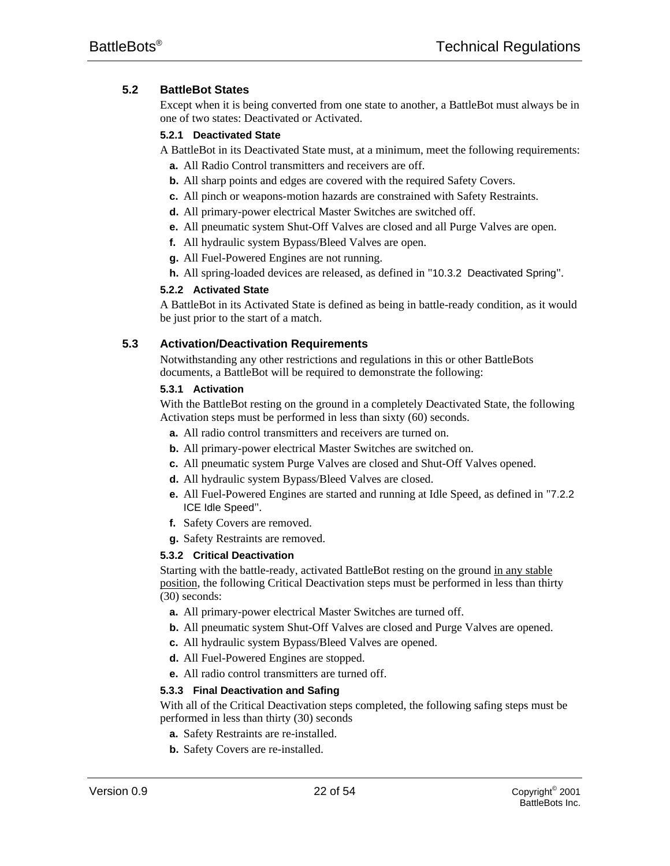# **5.2 BattleBot States**

Except when it is being converted from one state to another, a BattleBot must always be in one of two states: Deactivated or Activated.

# **5.2.1 Deactivated State**

A BattleBot in its Deactivated State must, at a minimum, meet the following requirements:

- **a.** All Radio Control transmitters and receivers are off.
- **b.** All sharp points and edges are covered with the required Safety Covers.
- **c.** All pinch or weapons-motion hazards are constrained with Safety Restraints.
- **d.** All primary-power electrical Master Switches are switched off.
- **e.** All pneumatic system Shut-Off Valves are closed and all Purge Valves are open.
- **f.** All hydraulic system Bypass/Bleed Valves are open.
- **g.** All Fuel-Powered Engines are not running.
- **h.** All spring-loaded devices are released, as defined in "10.3.2 Deactivated Spring".

# **5.2.2 Activated State**

A BattleBot in its Activated State is defined as being in battle-ready condition, as it would be just prior to the start of a match.

# **5.3 Activation/Deactivation Requirements**

Notwithstanding any other restrictions and regulations in this or other BattleBots documents, a BattleBot will be required to demonstrate the following:

# **5.3.1 Activation**

With the BattleBot resting on the ground in a completely Deactivated State, the following Activation steps must be performed in less than sixty (60) seconds.

- **a.** All radio control transmitters and receivers are turned on.
- **b.** All primary-power electrical Master Switches are switched on.
- **c.** All pneumatic system Purge Valves are closed and Shut-Off Valves opened.
- **d.** All hydraulic system Bypass/Bleed Valves are closed.
- **e.** All Fuel-Powered Engines are started and running at Idle Speed, as defined in "7.2.2 ICE Idle Speed".
- **f.** Safety Covers are removed.
- **g.** Safety Restraints are removed.

# **5.3.2 Critical Deactivation**

Starting with the battle-ready, activated BattleBot resting on the ground in any stable position, the following Critical Deactivation steps must be performed in less than thirty (30) seconds:

- **a.** All primary-power electrical Master Switches are turned off.
- **b.** All pneumatic system Shut-Off Valves are closed and Purge Valves are opened.
- **c.** All hydraulic system Bypass/Bleed Valves are opened.
- **d.** All Fuel-Powered Engines are stopped.
- **e.** All radio control transmitters are turned off.

# **5.3.3 Final Deactivation and Safing**

With all of the Critical Deactivation steps completed, the following safing steps must be performed in less than thirty (30) seconds

- **a.** Safety Restraints are re-installed.
- **b.** Safety Covers are re-installed.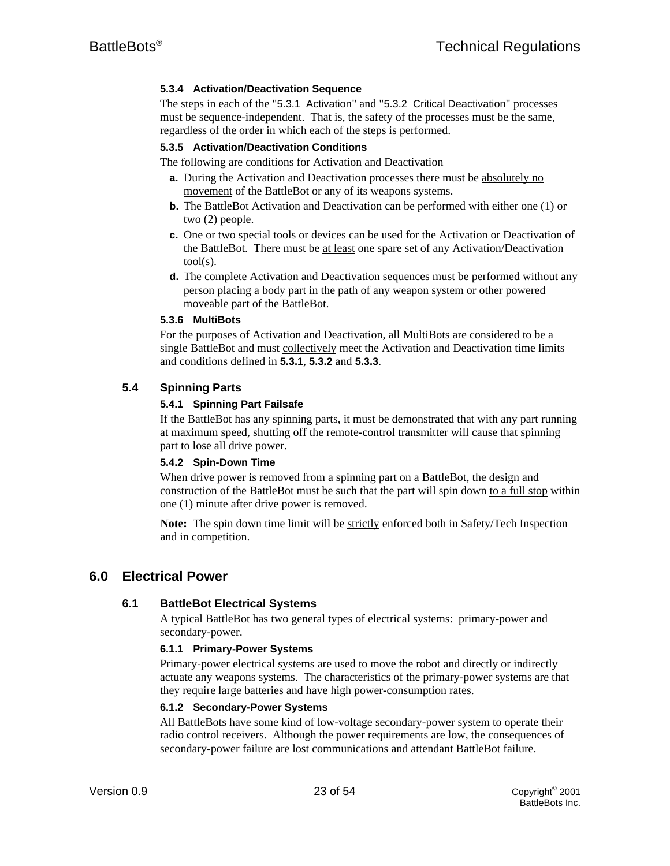# **5.3.4 Activation/Deactivation Sequence**

The steps in each of the "5.3.1 Activation" and "5.3.2 Critical Deactivation" processes must be sequence-independent. That is, the safety of the processes must be the same, regardless of the order in which each of the steps is performed.

#### **5.3.5 Activation/Deactivation Conditions**

The following are conditions for Activation and Deactivation

- **a.** During the Activation and Deactivation processes there must be absolutely no movement of the BattleBot or any of its weapons systems.
- **b.** The BattleBot Activation and Deactivation can be performed with either one (1) or two (2) people.
- **c.** One or two special tools or devices can be used for the Activation or Deactivation of the BattleBot. There must be at least one spare set of any Activation/Deactivation tool(s).
- **d.** The complete Activation and Deactivation sequences must be performed without any person placing a body part in the path of any weapon system or other powered moveable part of the BattleBot.

#### **5.3.6 MultiBots**

For the purposes of Activation and Deactivation, all MultiBots are considered to be a single BattleBot and must collectively meet the Activation and Deactivation time limits and conditions defined in **5.3.1**, **5.3.2** and **5.3.3**.

# **5.4 Spinning Parts**

#### **5.4.1 Spinning Part Failsafe**

If the BattleBot has any spinning parts, it must be demonstrated that with any part running at maximum speed, shutting off the remote-control transmitter will cause that spinning part to lose all drive power.

#### **5.4.2 Spin-Down Time**

When drive power is removed from a spinning part on a BattleBot, the design and construction of the BattleBot must be such that the part will spin down to a full stop within one (1) minute after drive power is removed.

**Note:** The spin down time limit will be strictly enforced both in Safety/Tech Inspection and in competition.

# **6.0 Electrical Power**

#### **6.1 BattleBot Electrical Systems**

A typical BattleBot has two general types of electrical systems: primary-power and secondary-power.

#### **6.1.1 Primary-Power Systems**

Primary-power electrical systems are used to move the robot and directly or indirectly actuate any weapons systems. The characteristics of the primary-power systems are that they require large batteries and have high power-consumption rates.

#### **6.1.2 Secondary-Power Systems**

All BattleBots have some kind of low-voltage secondary-power system to operate their radio control receivers. Although the power requirements are low, the consequences of secondary-power failure are lost communications and attendant BattleBot failure.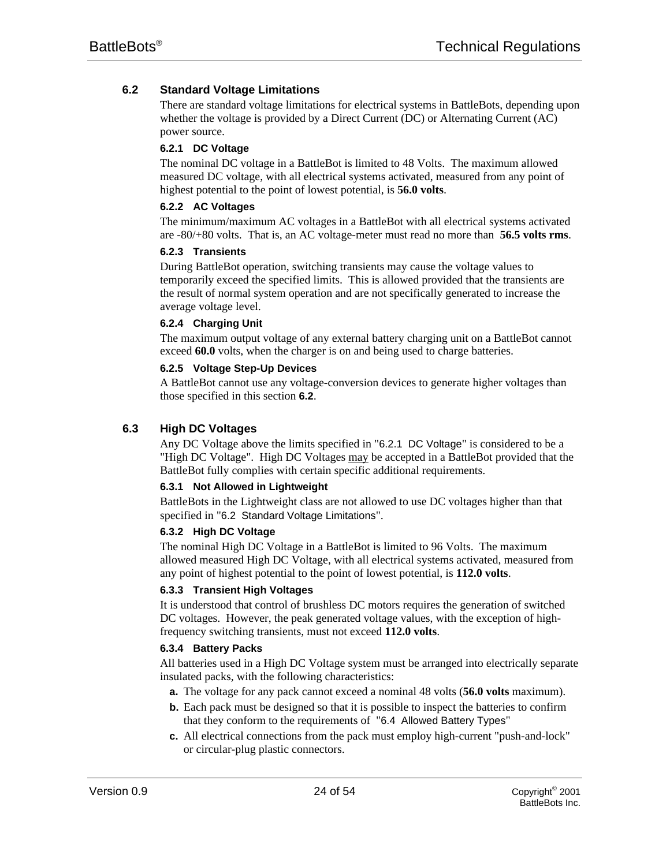# **6.2 Standard Voltage Limitations**

There are standard voltage limitations for electrical systems in BattleBots, depending upon whether the voltage is provided by a Direct Current (DC) or Alternating Current (AC) power source.

#### **6.2.1 DC Voltage**

The nominal DC voltage in a BattleBot is limited to 48 Volts. The maximum allowed measured DC voltage, with all electrical systems activated, measured from any point of highest potential to the point of lowest potential, is **56.0 volts**.

# **6.2.2 AC Voltages**

The minimum/maximum AC voltages in a BattleBot with all electrical systems activated are -80/+80 volts. That is, an AC voltage-meter must read no more than **56.5 volts rms**.

#### **6.2.3 Transients**

During BattleBot operation, switching transients may cause the voltage values to temporarily exceed the specified limits. This is allowed provided that the transients are the result of normal system operation and are not specifically generated to increase the average voltage level.

#### **6.2.4 Charging Unit**

The maximum output voltage of any external battery charging unit on a BattleBot cannot exceed **60.0** volts, when the charger is on and being used to charge batteries.

# **6.2.5 Voltage Step-Up Devices**

A BattleBot cannot use any voltage-conversion devices to generate higher voltages than those specified in this section **6.2**.

# **6.3 High DC Voltages**

Any DC Voltage above the limits specified in "6.2.1 DC Voltage" is considered to be a "High DC Voltage". High DC Voltages may be accepted in a BattleBot provided that the BattleBot fully complies with certain specific additional requirements.

# **6.3.1 Not Allowed in Lightweight**

BattleBots in the Lightweight class are not allowed to use DC voltages higher than that specified in "6.2 Standard Voltage Limitations".

# **6.3.2 High DC Voltage**

The nominal High DC Voltage in a BattleBot is limited to 96 Volts. The maximum allowed measured High DC Voltage, with all electrical systems activated, measured from any point of highest potential to the point of lowest potential, is **112.0 volts**.

# **6.3.3 Transient High Voltages**

It is understood that control of brushless DC motors requires the generation of switched DC voltages. However, the peak generated voltage values, with the exception of highfrequency switching transients, must not exceed **112.0 volts**.

# **6.3.4 Battery Packs**

All batteries used in a High DC Voltage system must be arranged into electrically separate insulated packs, with the following characteristics:

- **a.** The voltage for any pack cannot exceed a nominal 48 volts (**56.0 volts** maximum).
- **b.** Each pack must be designed so that it is possible to inspect the batteries to confirm that they conform to the requirements of "6.4 Allowed Battery Types"
- **c.** All electrical connections from the pack must employ high-current "push-and-lock" or circular-plug plastic connectors.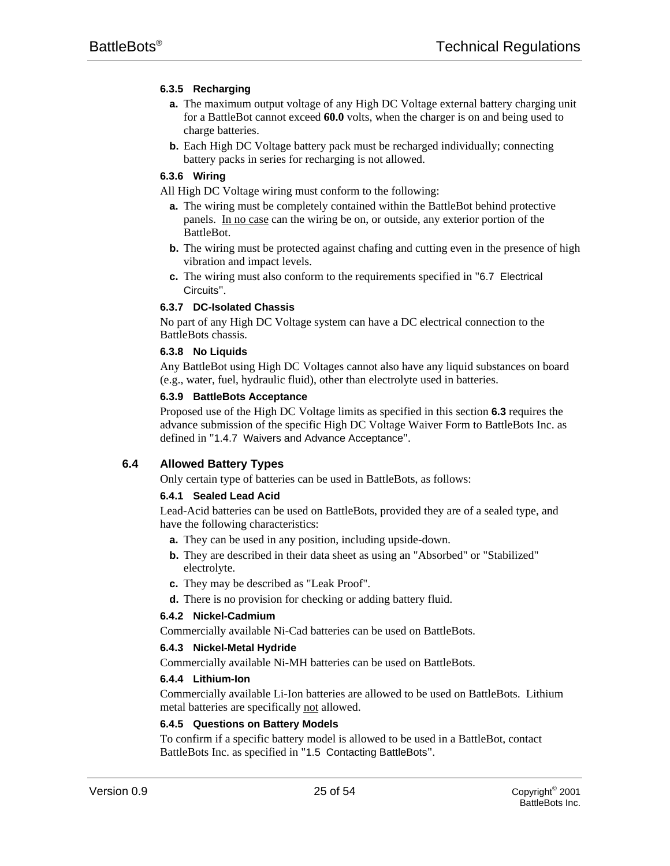# **6.3.5 Recharging**

- **a.** The maximum output voltage of any High DC Voltage external battery charging unit for a BattleBot cannot exceed **60.0** volts, when the charger is on and being used to charge batteries.
- **b.** Each High DC Voltage battery pack must be recharged individually; connecting battery packs in series for recharging is not allowed.

# **6.3.6 Wiring**

All High DC Voltage wiring must conform to the following:

- **a.** The wiring must be completely contained within the BattleBot behind protective panels. In no case can the wiring be on, or outside, any exterior portion of the BattleBot.
- **b.** The wiring must be protected against chafing and cutting even in the presence of high vibration and impact levels.
- **c.** The wiring must also conform to the requirements specified in "6.7 Electrical Circuits".

# **6.3.7 DC-Isolated Chassis**

No part of any High DC Voltage system can have a DC electrical connection to the BattleBots chassis.

#### **6.3.8 No Liquids**

Any BattleBot using High DC Voltages cannot also have any liquid substances on board (e.g., water, fuel, hydraulic fluid), other than electrolyte used in batteries.

# **6.3.9 BattleBots Acceptance**

Proposed use of the High DC Voltage limits as specified in this section **6.3** requires the advance submission of the specific High DC Voltage Waiver Form to BattleBots Inc. as defined in "1.4.7 Waivers and Advance Acceptance".

# **6.4 Allowed Battery Types**

Only certain type of batteries can be used in BattleBots, as follows:

# **6.4.1 Sealed Lead Acid**

Lead-Acid batteries can be used on BattleBots, provided they are of a sealed type, and have the following characteristics:

- **a.** They can be used in any position, including upside-down.
- **b.** They are described in their data sheet as using an "Absorbed" or "Stabilized" electrolyte.
- **c.** They may be described as "Leak Proof".
- **d.** There is no provision for checking or adding battery fluid.

# **6.4.2 Nickel-Cadmium**

Commercially available Ni-Cad batteries can be used on BattleBots.

#### **6.4.3 Nickel-Metal Hydride**

Commercially available Ni-MH batteries can be used on BattleBots.

# **6.4.4 Lithium-Ion**

Commercially available Li-Ion batteries are allowed to be used on BattleBots. Lithium metal batteries are specifically not allowed.

#### **6.4.5 Questions on Battery Models**

To confirm if a specific battery model is allowed to be used in a BattleBot, contact BattleBots Inc. as specified in "1.5 Contacting BattleBots".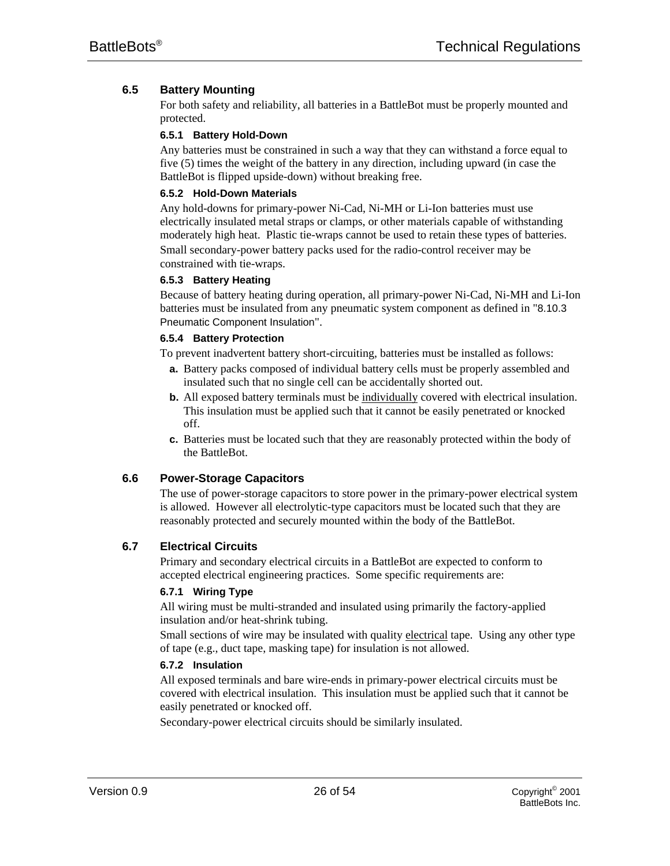# **6.5 Battery Mounting**

For both safety and reliability, all batteries in a BattleBot must be properly mounted and protected.

#### **6.5.1 Battery Hold-Down**

Any batteries must be constrained in such a way that they can withstand a force equal to five (5) times the weight of the battery in any direction, including upward (in case the BattleBot is flipped upside-down) without breaking free.

# **6.5.2 Hold-Down Materials**

Any hold-downs for primary-power Ni-Cad, Ni-MH or Li-Ion batteries must use electrically insulated metal straps or clamps, or other materials capable of withstanding moderately high heat. Plastic tie-wraps cannot be used to retain these types of batteries. Small secondary-power battery packs used for the radio-control receiver may be constrained with tie-wraps.

#### **6.5.3 Battery Heating**

Because of battery heating during operation, all primary-power Ni-Cad, Ni-MH and Li-Ion batteries must be insulated from any pneumatic system component as defined in "8.10.3 Pneumatic Component Insulation".

#### **6.5.4 Battery Protection**

To prevent inadvertent battery short-circuiting, batteries must be installed as follows:

- **a.** Battery packs composed of individual battery cells must be properly assembled and insulated such that no single cell can be accidentally shorted out.
- **b.** All exposed battery terminals must be individually covered with electrical insulation. This insulation must be applied such that it cannot be easily penetrated or knocked off.
- **c.** Batteries must be located such that they are reasonably protected within the body of the BattleBot.

# **6.6 Power-Storage Capacitors**

The use of power-storage capacitors to store power in the primary-power electrical system is allowed. However all electrolytic-type capacitors must be located such that they are reasonably protected and securely mounted within the body of the BattleBot.

# **6.7 Electrical Circuits**

Primary and secondary electrical circuits in a BattleBot are expected to conform to accepted electrical engineering practices. Some specific requirements are:

#### **6.7.1 Wiring Type**

All wiring must be multi-stranded and insulated using primarily the factory-applied insulation and/or heat-shrink tubing.

Small sections of wire may be insulated with quality electrical tape. Using any other type of tape (e.g., duct tape, masking tape) for insulation is not allowed.

# **6.7.2 Insulation**

All exposed terminals and bare wire-ends in primary-power electrical circuits must be covered with electrical insulation. This insulation must be applied such that it cannot be easily penetrated or knocked off.

Secondary-power electrical circuits should be similarly insulated.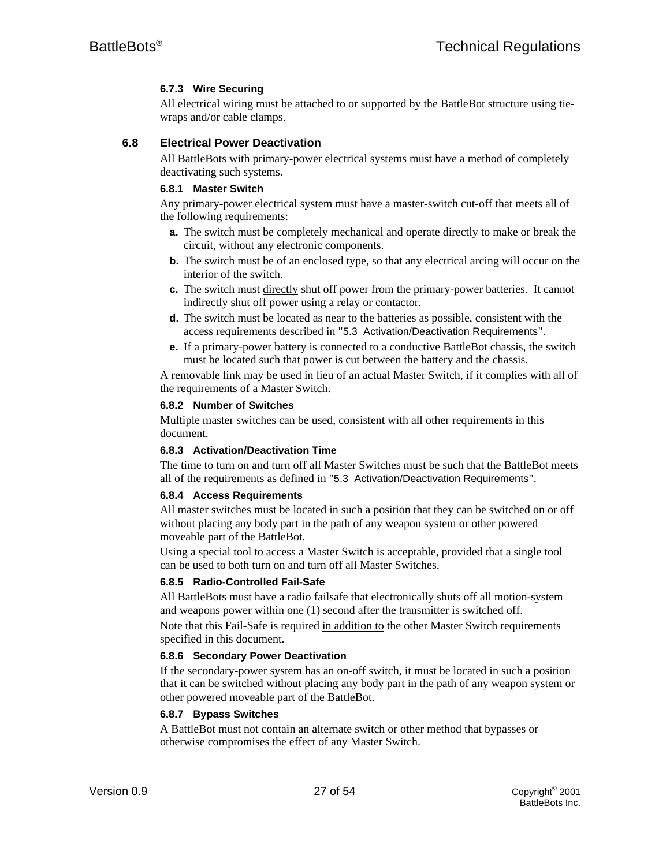# **6.7.3 Wire Securing**

All electrical wiring must be attached to or supported by the BattleBot structure using tiewraps and/or cable clamps.

# **6.8 Electrical Power Deactivation**

All BattleBots with primary-power electrical systems must have a method of completely deactivating such systems.

# **6.8.1 Master Switch**

Any primary-power electrical system must have a master-switch cut-off that meets all of the following requirements:

- **a.** The switch must be completely mechanical and operate directly to make or break the circuit, without any electronic components.
- **b.** The switch must be of an enclosed type, so that any electrical arcing will occur on the interior of the switch.
- **c.** The switch must directly shut off power from the primary-power batteries. It cannot indirectly shut off power using a relay or contactor.
- **d.** The switch must be located as near to the batteries as possible, consistent with the access requirements described in "5.3 Activation/Deactivation Requirements".
- **e.** If a primary-power battery is connected to a conductive BattleBot chassis, the switch must be located such that power is cut between the battery and the chassis.

A removable link may be used in lieu of an actual Master Switch, if it complies with all of the requirements of a Master Switch.

# **6.8.2 Number of Switches**

Multiple master switches can be used, consistent with all other requirements in this document.

# **6.8.3 Activation/Deactivation Time**

The time to turn on and turn off all Master Switches must be such that the BattleBot meets all of the requirements as defined in "5.3 Activation/Deactivation Requirements".

#### **6.8.4 Access Requirements**

All master switches must be located in such a position that they can be switched on or off without placing any body part in the path of any weapon system or other powered moveable part of the BattleBot.

Using a special tool to access a Master Switch is acceptable, provided that a single tool can be used to both turn on and turn off all Master Switches.

#### **6.8.5 Radio-Controlled Fail-Safe**

All BattleBots must have a radio failsafe that electronically shuts off all motion-system and weapons power within one (1) second after the transmitter is switched off.

Note that this Fail-Safe is required in addition to the other Master Switch requirements specified in this document.

# **6.8.6 Secondary Power Deactivation**

If the secondary-power system has an on-off switch, it must be located in such a position that it can be switched without placing any body part in the path of any weapon system or other powered moveable part of the BattleBot.

#### **6.8.7 Bypass Switches**

A BattleBot must not contain an alternate switch or other method that bypasses or otherwise compromises the effect of any Master Switch.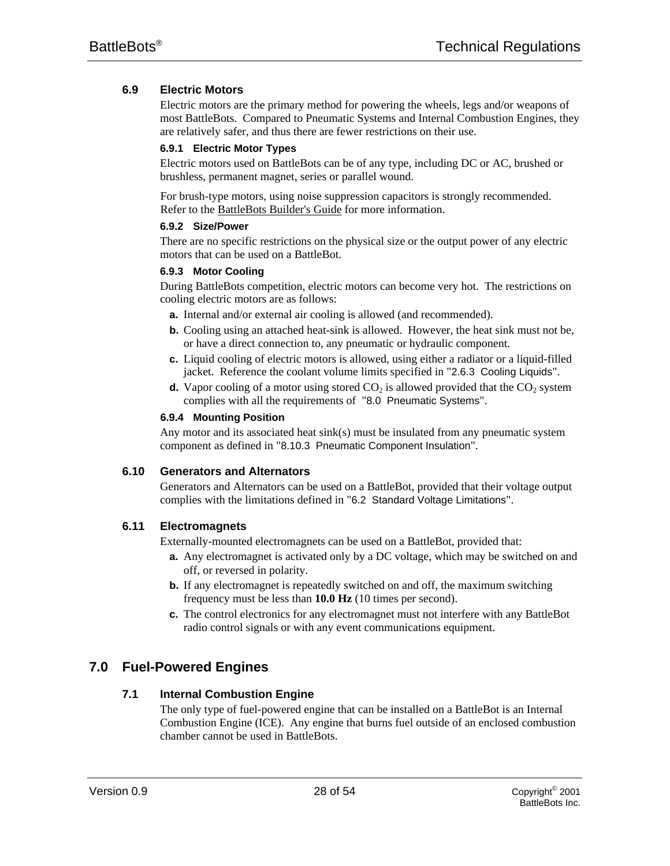# **6.9 Electric Motors**

Electric motors are the primary method for powering the wheels, legs and/or weapons of most BattleBots. Compared to Pneumatic Systems and Internal Combustion Engines, they are relatively safer, and thus there are fewer restrictions on their use.

# **6.9.1 Electric Motor Types**

Electric motors used on BattleBots can be of any type, including DC or AC, brushed or brushless, permanent magnet, series or parallel wound.

For brush-type motors, using noise suppression capacitors is strongly recommended. Refer to the BattleBots Builder's Guide for more information.

#### **6.9.2 Size/Power**

There are no specific restrictions on the physical size or the output power of any electric motors that can be used on a BattleBot.

# **6.9.3 Motor Cooling**

During BattleBots competition, electric motors can become very hot. The restrictions on cooling electric motors are as follows:

- **a.** Internal and/or external air cooling is allowed (and recommended).
- **b.** Cooling using an attached heat-sink is allowed. However, the heat sink must not be, or have a direct connection to, any pneumatic or hydraulic component.
- **c.** Liquid cooling of electric motors is allowed, using either a radiator or a liquid-filled jacket. Reference the coolant volume limits specified in "2.6.3 Cooling Liquids".
- **d.** Vapor cooling of a motor using stored  $CO<sub>2</sub>$  is allowed provided that the  $CO<sub>2</sub>$  system complies with all the requirements of "8.0 Pneumatic Systems".

# **6.9.4 Mounting Position**

Any motor and its associated heat sink(s) must be insulated from any pneumatic system component as defined in "8.10.3 Pneumatic Component Insulation".

# **6.10 Generators and Alternators**

Generators and Alternators can be used on a BattleBot, provided that their voltage output complies with the limitations defined in "6.2 Standard Voltage Limitations".

# **6.11 Electromagnets**

Externally-mounted electromagnets can be used on a BattleBot, provided that:

- **a.** Any electromagnet is activated only by a DC voltage, which may be switched on and off, or reversed in polarity.
- **b.** If any electromagnet is repeatedly switched on and off, the maximum switching frequency must be less than **10.0 Hz** (10 times per second).
- **c.** The control electronics for any electromagnet must not interfere with any BattleBot radio control signals or with any event communications equipment.

# **7.0 Fuel-Powered Engines**

# **7.1 Internal Combustion Engine**

The only type of fuel-powered engine that can be installed on a BattleBot is an Internal Combustion Engine (ICE). Any engine that burns fuel outside of an enclosed combustion chamber cannot be used in BattleBots.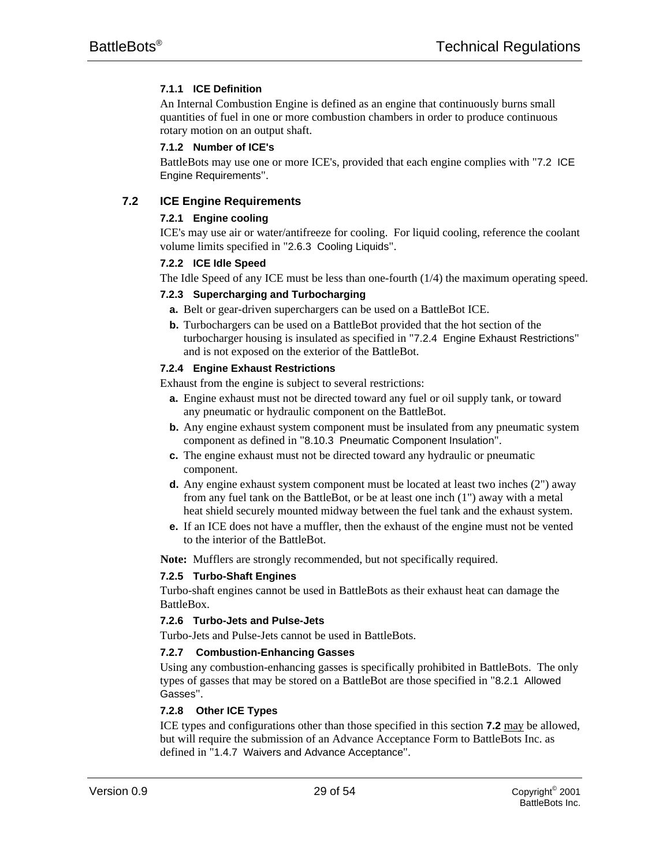# **7.1.1 ICE Definition**

An Internal Combustion Engine is defined as an engine that continuously burns small quantities of fuel in one or more combustion chambers in order to produce continuous rotary motion on an output shaft.

# **7.1.2 Number of ICE's**

BattleBots may use one or more ICE's, provided that each engine complies with "7.2 ICE Engine Requirements".

# **7.2 ICE Engine Requirements**

# **7.2.1 Engine cooling**

ICE's may use air or water/antifreeze for cooling. For liquid cooling, reference the coolant volume limits specified in "2.6.3 Cooling Liquids".

#### **7.2.2 ICE Idle Speed**

The Idle Speed of any ICE must be less than one-fourth (1/4) the maximum operating speed.

# **7.2.3 Supercharging and Turbocharging**

- **a.** Belt or gear-driven superchargers can be used on a BattleBot ICE.
- **b.** Turbochargers can be used on a BattleBot provided that the hot section of the turbocharger housing is insulated as specified in "7.2.4 Engine Exhaust Restrictions" and is not exposed on the exterior of the BattleBot.

# **7.2.4 Engine Exhaust Restrictions**

Exhaust from the engine is subject to several restrictions:

- **a.** Engine exhaust must not be directed toward any fuel or oil supply tank, or toward any pneumatic or hydraulic component on the BattleBot.
- **b.** Any engine exhaust system component must be insulated from any pneumatic system component as defined in "8.10.3 Pneumatic Component Insulation".
- **c.** The engine exhaust must not be directed toward any hydraulic or pneumatic component.
- **d.** Any engine exhaust system component must be located at least two inches (2") away from any fuel tank on the BattleBot, or be at least one inch (1") away with a metal heat shield securely mounted midway between the fuel tank and the exhaust system.
- **e.** If an ICE does not have a muffler, then the exhaust of the engine must not be vented to the interior of the BattleBot.

**Note:** Mufflers are strongly recommended, but not specifically required.

# **7.2.5 Turbo-Shaft Engines**

Turbo-shaft engines cannot be used in BattleBots as their exhaust heat can damage the **BattleBox** 

#### **7.2.6 Turbo-Jets and Pulse-Jets**

Turbo-Jets and Pulse-Jets cannot be used in BattleBots.

#### **7.2.7 Combustion-Enhancing Gasses**

Using any combustion-enhancing gasses is specifically prohibited in BattleBots. The only types of gasses that may be stored on a BattleBot are those specified in "8.2.1 Allowed Gasses".

# **7.2.8 Other ICE Types**

ICE types and configurations other than those specified in this section **7.2** may be allowed, but will require the submission of an Advance Acceptance Form to BattleBots Inc. as defined in "1.4.7 Waivers and Advance Acceptance".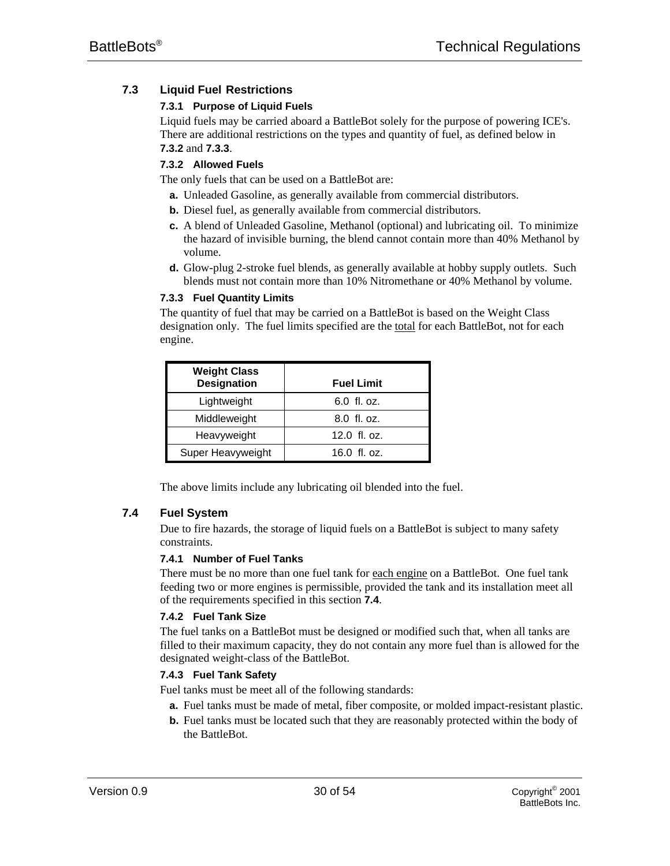# **7.3 Liquid Fuel Restrictions**

# **7.3.1 Purpose of Liquid Fuels**

Liquid fuels may be carried aboard a BattleBot solely for the purpose of powering ICE's. There are additional restrictions on the types and quantity of fuel, as defined below in **7.3.2** and **7.3.3**.

# **7.3.2 Allowed Fuels**

The only fuels that can be used on a BattleBot are:

- **a.** Unleaded Gasoline, as generally available from commercial distributors.
- **b.** Diesel fuel, as generally available from commercial distributors.
- **c.** A blend of Unleaded Gasoline, Methanol (optional) and lubricating oil. To minimize the hazard of invisible burning, the blend cannot contain more than 40% Methanol by volume.
- **d.** Glow-plug 2-stroke fuel blends, as generally available at hobby supply outlets. Such blends must not contain more than 10% Nitromethane or 40% Methanol by volume.

# **7.3.3 Fuel Quantity Limits**

The quantity of fuel that may be carried on a BattleBot is based on the Weight Class designation only. The fuel limits specified are the total for each BattleBot, not for each engine.

| <b>Weight Class</b><br><b>Designation</b> | <b>Fuel Limit</b> |
|-------------------------------------------|-------------------|
| Lightweight                               | 6.0 fl. oz.       |
| Middleweight                              | 8.0 fl. oz.       |
| Heavyweight                               | $12.0$ fl. oz.    |
| Super Heavyweight                         | 16.0 fl. oz.      |

The above limits include any lubricating oil blended into the fuel.

# **7.4 Fuel System**

Due to fire hazards, the storage of liquid fuels on a BattleBot is subject to many safety constraints.

#### **7.4.1 Number of Fuel Tanks**

There must be no more than one fuel tank for each engine on a BattleBot. One fuel tank feeding two or more engines is permissible, provided the tank and its installation meet all of the requirements specified in this section **7.4**.

# **7.4.2 Fuel Tank Size**

The fuel tanks on a BattleBot must be designed or modified such that, when all tanks are filled to their maximum capacity, they do not contain any more fuel than is allowed for the designated weight-class of the BattleBot.

# **7.4.3 Fuel Tank Safety**

Fuel tanks must be meet all of the following standards:

- **a.** Fuel tanks must be made of metal, fiber composite, or molded impact-resistant plastic.
- **b.** Fuel tanks must be located such that they are reasonably protected within the body of the BattleBot.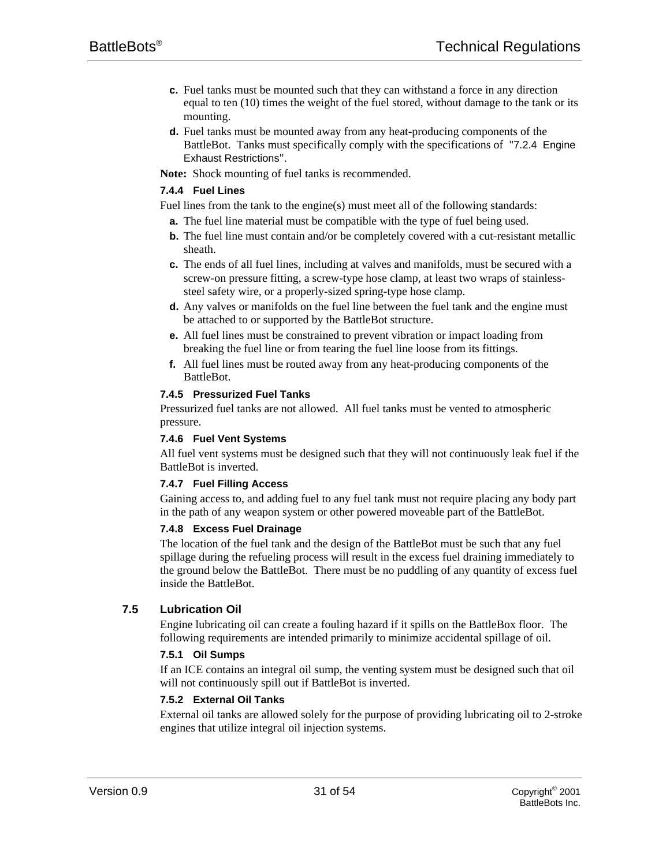- **c.** Fuel tanks must be mounted such that they can withstand a force in any direction equal to ten (10) times the weight of the fuel stored, without damage to the tank or its mounting.
- **d.** Fuel tanks must be mounted away from any heat-producing components of the BattleBot. Tanks must specifically comply with the specifications of "7.2.4 Engine Exhaust Restrictions".

**Note:** Shock mounting of fuel tanks is recommended.

#### **7.4.4 Fuel Lines**

Fuel lines from the tank to the engine(s) must meet all of the following standards:

- **a.** The fuel line material must be compatible with the type of fuel being used.
- **b.** The fuel line must contain and/or be completely covered with a cut-resistant metallic sheath.
- **c.** The ends of all fuel lines, including at valves and manifolds, must be secured with a screw-on pressure fitting, a screw-type hose clamp, at least two wraps of stainlesssteel safety wire, or a properly-sized spring-type hose clamp.
- **d.** Any valves or manifolds on the fuel line between the fuel tank and the engine must be attached to or supported by the BattleBot structure.
- **e.** All fuel lines must be constrained to prevent vibration or impact loading from breaking the fuel line or from tearing the fuel line loose from its fittings.
- **f.** All fuel lines must be routed away from any heat-producing components of the BattleBot.

# **7.4.5 Pressurized Fuel Tanks**

Pressurized fuel tanks are not allowed. All fuel tanks must be vented to atmospheric pressure.

#### **7.4.6 Fuel Vent Systems**

All fuel vent systems must be designed such that they will not continuously leak fuel if the BattleBot is inverted.

#### **7.4.7 Fuel Filling Access**

Gaining access to, and adding fuel to any fuel tank must not require placing any body part in the path of any weapon system or other powered moveable part of the BattleBot.

#### **7.4.8 Excess Fuel Drainage**

The location of the fuel tank and the design of the BattleBot must be such that any fuel spillage during the refueling process will result in the excess fuel draining immediately to the ground below the BattleBot. There must be no puddling of any quantity of excess fuel inside the BattleBot.

#### **7.5 Lubrication Oil**

Engine lubricating oil can create a fouling hazard if it spills on the BattleBox floor. The following requirements are intended primarily to minimize accidental spillage of oil.

#### **7.5.1 Oil Sumps**

If an ICE contains an integral oil sump, the venting system must be designed such that oil will not continuously spill out if BattleBot is inverted.

#### **7.5.2 External Oil Tanks**

External oil tanks are allowed solely for the purpose of providing lubricating oil to 2-stroke engines that utilize integral oil injection systems.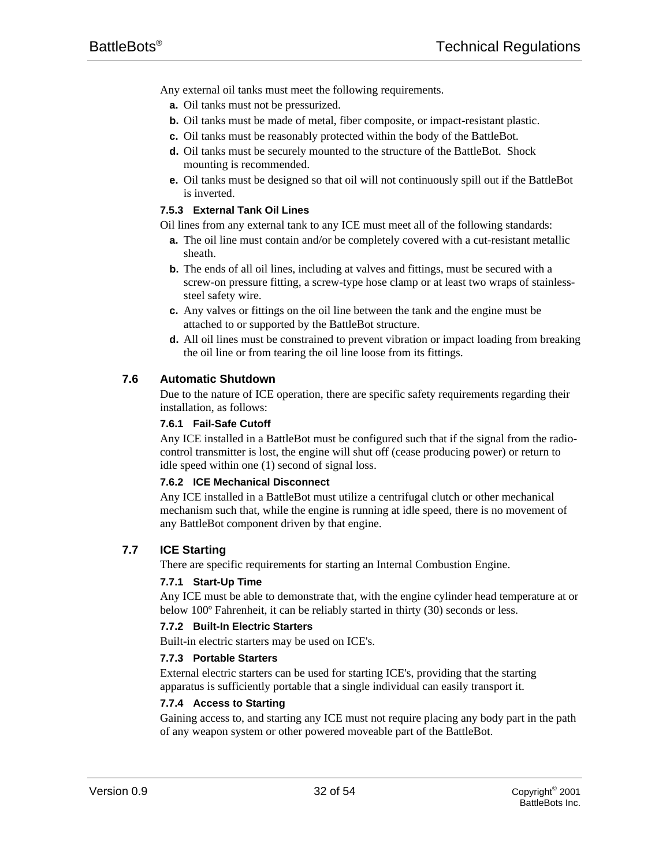Any external oil tanks must meet the following requirements.

- **a.** Oil tanks must not be pressurized.
- **b.** Oil tanks must be made of metal, fiber composite, or impact-resistant plastic.
- **c.** Oil tanks must be reasonably protected within the body of the BattleBot.
- **d.** Oil tanks must be securely mounted to the structure of the BattleBot. Shock mounting is recommended.
- **e.** Oil tanks must be designed so that oil will not continuously spill out if the BattleBot is inverted.

# **7.5.3 External Tank Oil Lines**

Oil lines from any external tank to any ICE must meet all of the following standards:

- **a.** The oil line must contain and/or be completely covered with a cut-resistant metallic sheath.
- **b.** The ends of all oil lines, including at valves and fittings, must be secured with a screw-on pressure fitting, a screw-type hose clamp or at least two wraps of stainlesssteel safety wire.
- **c.** Any valves or fittings on the oil line between the tank and the engine must be attached to or supported by the BattleBot structure.
- **d.** All oil lines must be constrained to prevent vibration or impact loading from breaking the oil line or from tearing the oil line loose from its fittings.

# **7.6 Automatic Shutdown**

Due to the nature of ICE operation, there are specific safety requirements regarding their installation, as follows:

#### **7.6.1 Fail-Safe Cutoff**

Any ICE installed in a BattleBot must be configured such that if the signal from the radiocontrol transmitter is lost, the engine will shut off (cease producing power) or return to idle speed within one (1) second of signal loss.

#### **7.6.2 ICE Mechanical Disconnect**

Any ICE installed in a BattleBot must utilize a centrifugal clutch or other mechanical mechanism such that, while the engine is running at idle speed, there is no movement of any BattleBot component driven by that engine.

# **7.7 ICE Starting**

There are specific requirements for starting an Internal Combustion Engine.

#### **7.7.1 Start-Up Time**

Any ICE must be able to demonstrate that, with the engine cylinder head temperature at or below 100º Fahrenheit, it can be reliably started in thirty (30) seconds or less.

#### **7.7.2 Built-In Electric Starters**

Built-in electric starters may be used on ICE's.

#### **7.7.3 Portable Starters**

External electric starters can be used for starting ICE's, providing that the starting apparatus is sufficiently portable that a single individual can easily transport it.

#### **7.7.4 Access to Starting**

Gaining access to, and starting any ICE must not require placing any body part in the path of any weapon system or other powered moveable part of the BattleBot.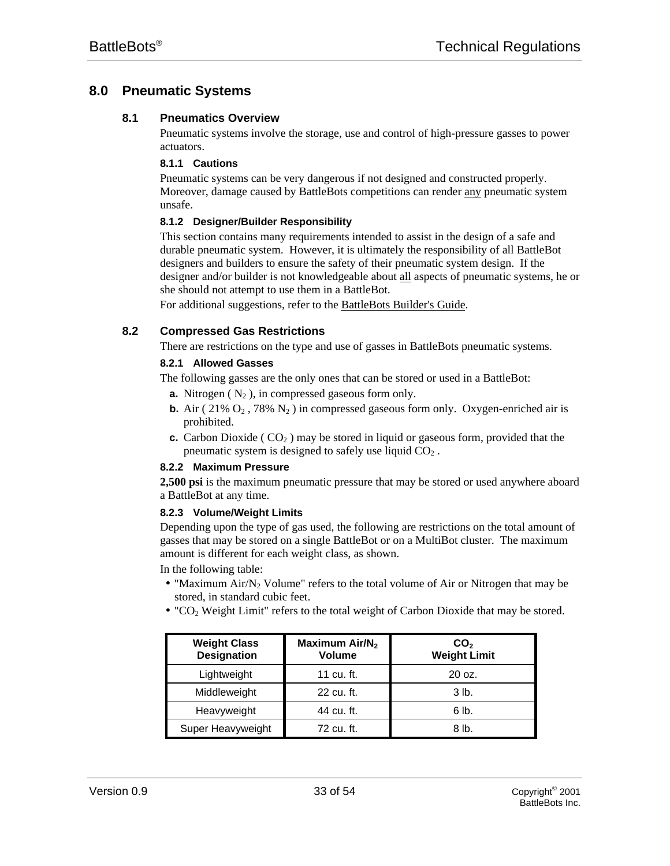# **8.0 Pneumatic Systems**

# **8.1 Pneumatics Overview**

Pneumatic systems involve the storage, use and control of high-pressure gasses to power actuators.

#### **8.1.1 Cautions**

Pneumatic systems can be very dangerous if not designed and constructed properly. Moreover, damage caused by BattleBots competitions can render any pneumatic system unsafe.

#### **8.1.2 Designer/Builder Responsibility**

This section contains many requirements intended to assist in the design of a safe and durable pneumatic system. However, it is ultimately the responsibility of all BattleBot designers and builders to ensure the safety of their pneumatic system design. If the designer and/or builder is not knowledgeable about all aspects of pneumatic systems, he or she should not attempt to use them in a BattleBot.

For additional suggestions, refer to the BattleBots Builder's Guide.

# **8.2 Compressed Gas Restrictions**

There are restrictions on the type and use of gasses in BattleBots pneumatic systems.

# **8.2.1 Allowed Gasses**

The following gasses are the only ones that can be stored or used in a BattleBot:

- **a.** Nitrogen  $(N_2)$ , in compressed gaseous form only.
- **b.** Air ( $21\%$  O<sub>2</sub>,  $78\%$  N<sub>2</sub>) in compressed gaseous form only. Oxygen-enriched air is prohibited.
- **c.** Carbon Dioxide ( $CO<sub>2</sub>$ ) may be stored in liquid or gaseous form, provided that the pneumatic system is designed to safely use liquid  $CO<sub>2</sub>$ .

#### **8.2.2 Maximum Pressure**

**2,500 psi** is the maximum pneumatic pressure that may be stored or used anywhere aboard a BattleBot at any time.

#### **8.2.3 Volume/Weight Limits**

Depending upon the type of gas used, the following are restrictions on the total amount of gasses that may be stored on a single BattleBot or on a MultiBot cluster. The maximum amount is different for each weight class, as shown.

In the following table:

- "Maximum Air/ $N_2$  Volume" refers to the total volume of Air or Nitrogen that may be stored, in standard cubic feet.
- "CO2 Weight Limit" refers to the total weight of Carbon Dioxide that may be stored.

| <b>Weight Class</b><br><b>Designation</b> | Maximum Air/N <sub>2</sub><br><b>Volume</b> | CO <sub>2</sub><br><b>Weight Limit</b> |
|-------------------------------------------|---------------------------------------------|----------------------------------------|
| Lightweight                               | 11 cu. ft.                                  | $20 \text{ oz}$ .                      |
| Middleweight                              | 22 cu. ft.                                  | $3$ lb.                                |
| Heavyweight                               | 44 cu. ft.                                  | 6 lb.                                  |
| Super Heavyweight                         | 72 cu. ft.                                  | 8 lb.                                  |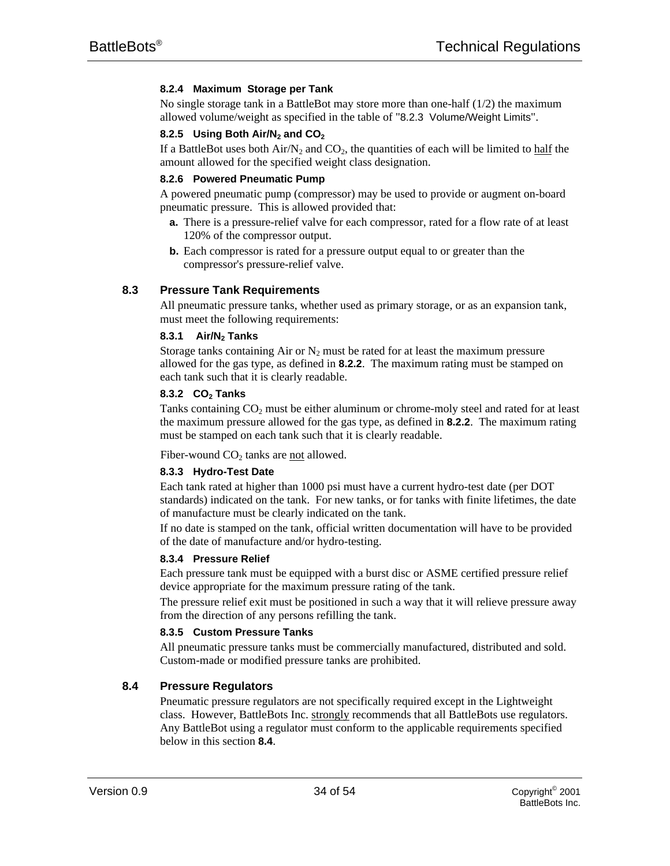# **8.2.4 Maximum Storage per Tank**

No single storage tank in a BattleBot may store more than one-half  $(1/2)$  the maximum allowed volume/weight as specified in the table of "8.2.3 Volume/Weight Limits".

# **8.2.5 Using Both Air/N2 and CO<sup>2</sup>**

If a BattleBot uses both  $Air/N_2$  and  $CO_2$ , the quantities of each will be limited to half the amount allowed for the specified weight class designation.

#### **8.2.6 Powered Pneumatic Pump**

A powered pneumatic pump (compressor) may be used to provide or augment on-board pneumatic pressure. This is allowed provided that:

- **a.** There is a pressure-relief valve for each compressor, rated for a flow rate of at least 120% of the compressor output.
- **b.** Each compressor is rated for a pressure output equal to or greater than the compressor's pressure-relief valve.

# **8.3 Pressure Tank Requirements**

All pneumatic pressure tanks, whether used as primary storage, or as an expansion tank, must meet the following requirements:

# **8.3.1 Air/N2 Tanks**

Storage tanks containing Air or  $N_2$  must be rated for at least the maximum pressure allowed for the gas type, as defined in **8.2.2**. The maximum rating must be stamped on each tank such that it is clearly readable.

#### **8.3.2 CO2 Tanks**

Tanks containing CO<sub>2</sub> must be either aluminum or chrome-moly steel and rated for at least the maximum pressure allowed for the gas type, as defined in **8.2.2**. The maximum rating must be stamped on each tank such that it is clearly readable.

Fiber-wound  $CO<sub>2</sub>$  tanks are not allowed.

#### **8.3.3 Hydro-Test Date**

Each tank rated at higher than 1000 psi must have a current hydro-test date (per DOT standards) indicated on the tank. For new tanks, or for tanks with finite lifetimes, the date of manufacture must be clearly indicated on the tank.

If no date is stamped on the tank, official written documentation will have to be provided of the date of manufacture and/or hydro-testing.

# **8.3.4 Pressure Relief**

Each pressure tank must be equipped with a burst disc or ASME certified pressure relief device appropriate for the maximum pressure rating of the tank.

The pressure relief exit must be positioned in such a way that it will relieve pressure away from the direction of any persons refilling the tank.

# **8.3.5 Custom Pressure Tanks**

All pneumatic pressure tanks must be commercially manufactured, distributed and sold. Custom-made or modified pressure tanks are prohibited.

# **8.4 Pressure Regulators**

Pneumatic pressure regulators are not specifically required except in the Lightweight class. However, BattleBots Inc. strongly recommends that all BattleBots use regulators. Any BattleBot using a regulator must conform to the applicable requirements specified below in this section **8.4**.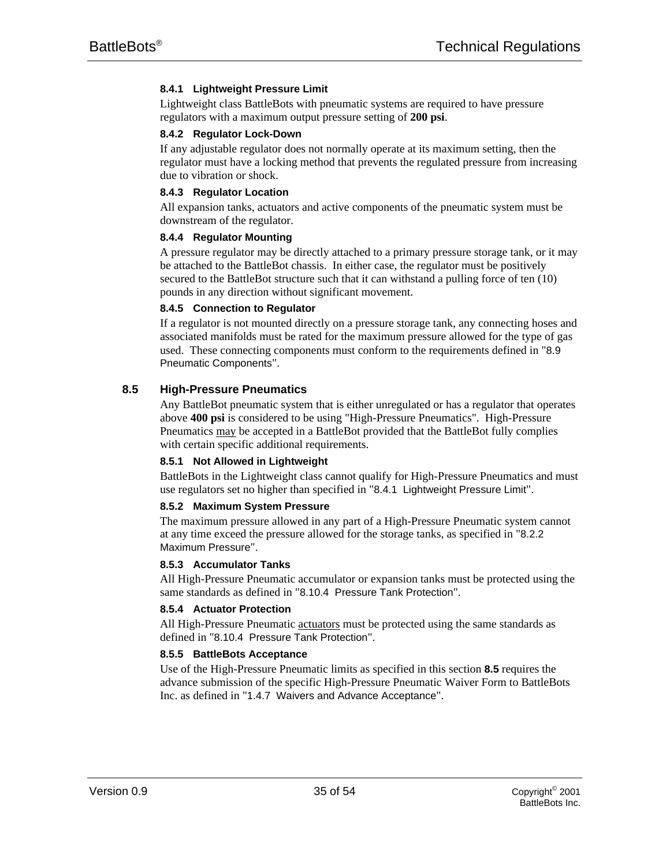# **8.4.1 Lightweight Pressure Limit**

Lightweight class BattleBots with pneumatic systems are required to have pressure regulators with a maximum output pressure setting of **200 psi**.

#### **8.4.2 Regulator Lock-Down**

If any adjustable regulator does not normally operate at its maximum setting, then the regulator must have a locking method that prevents the regulated pressure from increasing due to vibration or shock.

# **8.4.3 Regulator Location**

All expansion tanks, actuators and active components of the pneumatic system must be downstream of the regulator.

# **8.4.4 Regulator Mounting**

A pressure regulator may be directly attached to a primary pressure storage tank, or it may be attached to the BattleBot chassis. In either case, the regulator must be positively secured to the BattleBot structure such that it can withstand a pulling force of ten (10) pounds in any direction without significant movement.

# **8.4.5 Connection to Regulator**

If a regulator is not mounted directly on a pressure storage tank, any connecting hoses and associated manifolds must be rated for the maximum pressure allowed for the type of gas used. These connecting components must conform to the requirements defined in "8.9 Pneumatic Components".

# **8.5 High-Pressure Pneumatics**

Any BattleBot pneumatic system that is either unregulated or has a regulator that operates above **400 psi** is considered to be using "High-Pressure Pneumatics". High-Pressure Pneumatics may be accepted in a BattleBot provided that the BattleBot fully complies with certain specific additional requirements.

#### **8.5.1 Not Allowed in Lightweight**

BattleBots in the Lightweight class cannot qualify for High-Pressure Pneumatics and must use regulators set no higher than specified in "8.4.1 Lightweight Pressure Limit".

#### **8.5.2 Maximum System Pressure**

The maximum pressure allowed in any part of a High-Pressure Pneumatic system cannot at any time exceed the pressure allowed for the storage tanks, as specified in "8.2.2 Maximum Pressure".

#### **8.5.3 Accumulator Tanks**

All High-Pressure Pneumatic accumulator or expansion tanks must be protected using the same standards as defined in "8.10.4 Pressure Tank Protection".

#### **8.5.4 Actuator Protection**

All High-Pressure Pneumatic actuators must be protected using the same standards as defined in "8.10.4 Pressure Tank Protection".

#### **8.5.5 BattleBots Acceptance**

Use of the High-Pressure Pneumatic limits as specified in this section **8.5** requires the advance submission of the specific High-Pressure Pneumatic Waiver Form to BattleBots Inc. as defined in "1.4.7 Waivers and Advance Acceptance".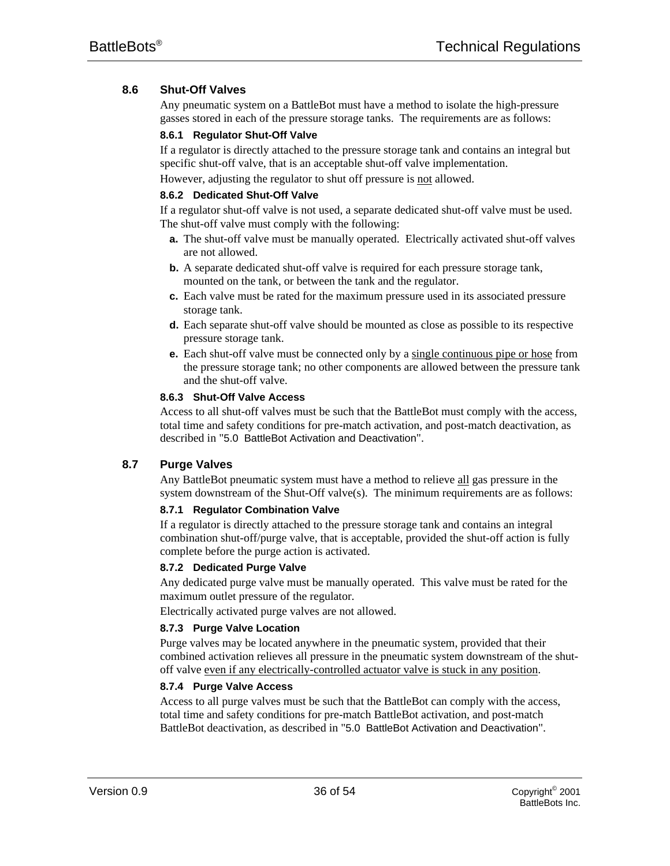# **8.6 Shut-Off Valves**

Any pneumatic system on a BattleBot must have a method to isolate the high-pressure gasses stored in each of the pressure storage tanks. The requirements are as follows:

# **8.6.1 Regulator Shut-Off Valve**

If a regulator is directly attached to the pressure storage tank and contains an integral but specific shut-off valve, that is an acceptable shut-off valve implementation.

However, adjusting the regulator to shut off pressure is not allowed.

# **8.6.2 Dedicated Shut-Off Valve**

If a regulator shut-off valve is not used, a separate dedicated shut-off valve must be used. The shut-off valve must comply with the following:

- **a.** The shut-off valve must be manually operated. Electrically activated shut-off valves are not allowed.
- **b.** A separate dedicated shut-off valve is required for each pressure storage tank, mounted on the tank, or between the tank and the regulator.
- **c.** Each valve must be rated for the maximum pressure used in its associated pressure storage tank.
- **d.** Each separate shut-off valve should be mounted as close as possible to its respective pressure storage tank.
- **e.** Each shut-off valve must be connected only by a single continuous pipe or hose from the pressure storage tank; no other components are allowed between the pressure tank and the shut-off valve.

# **8.6.3 Shut-Off Valve Access**

Access to all shut-off valves must be such that the BattleBot must comply with the access, total time and safety conditions for pre-match activation, and post-match deactivation, as described in "5.0 BattleBot Activation and Deactivation".

# **8.7 Purge Valves**

Any BattleBot pneumatic system must have a method to relieve all gas pressure in the system downstream of the Shut-Off valve(s). The minimum requirements are as follows:

# **8.7.1 Regulator Combination Valve**

If a regulator is directly attached to the pressure storage tank and contains an integral combination shut-off/purge valve, that is acceptable, provided the shut-off action is fully complete before the purge action is activated.

# **8.7.2 Dedicated Purge Valve**

Any dedicated purge valve must be manually operated. This valve must be rated for the maximum outlet pressure of the regulator.

Electrically activated purge valves are not allowed.

# **8.7.3 Purge Valve Location**

Purge valves may be located anywhere in the pneumatic system, provided that their combined activation relieves all pressure in the pneumatic system downstream of the shutoff valve even if any electrically-controlled actuator valve is stuck in any position.

# **8.7.4 Purge Valve Access**

Access to all purge valves must be such that the BattleBot can comply with the access, total time and safety conditions for pre-match BattleBot activation, and post-match BattleBot deactivation, as described in "5.0 BattleBot Activation and Deactivation".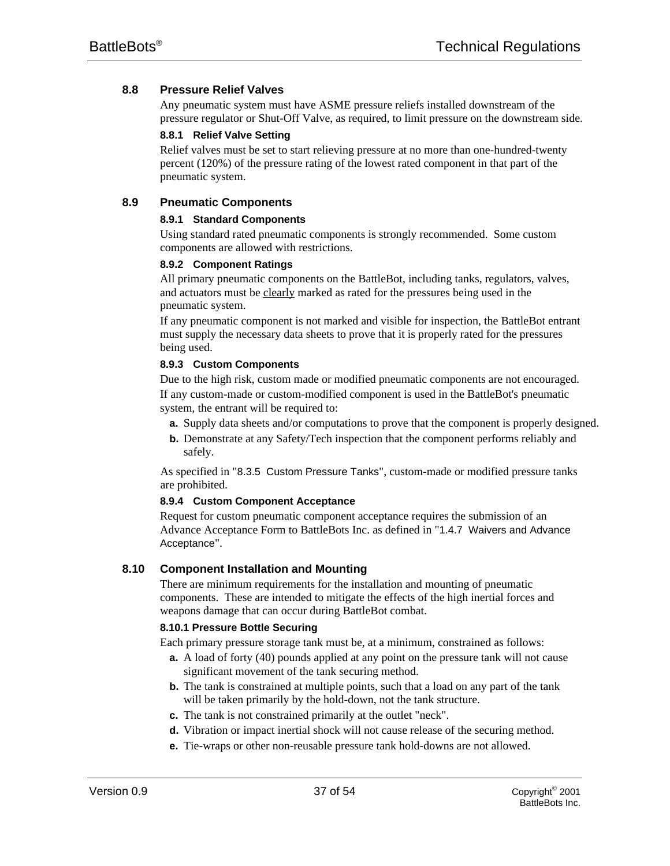# **8.8 Pressure Relief Valves**

Any pneumatic system must have ASME pressure reliefs installed downstream of the pressure regulator or Shut-Off Valve, as required, to limit pressure on the downstream side.

#### **8.8.1 Relief Valve Setting**

Relief valves must be set to start relieving pressure at no more than one-hundred-twenty percent (120%) of the pressure rating of the lowest rated component in that part of the pneumatic system.

# **8.9 Pneumatic Components**

#### **8.9.1 Standard Components**

Using standard rated pneumatic components is strongly recommended. Some custom components are allowed with restrictions.

#### **8.9.2 Component Ratings**

All primary pneumatic components on the BattleBot, including tanks, regulators, valves, and actuators must be clearly marked as rated for the pressures being used in the pneumatic system.

If any pneumatic component is not marked and visible for inspection, the BattleBot entrant must supply the necessary data sheets to prove that it is properly rated for the pressures being used.

#### **8.9.3 Custom Components**

Due to the high risk, custom made or modified pneumatic components are not encouraged. If any custom-made or custom-modified component is used in the BattleBot's pneumatic system, the entrant will be required to:

- **a.** Supply data sheets and/or computations to prove that the component is properly designed.
- **b.** Demonstrate at any Safety/Tech inspection that the component performs reliably and safely.

As specified in "8.3.5 Custom Pressure Tanks", custom-made or modified pressure tanks are prohibited.

#### **8.9.4 Custom Component Acceptance**

Request for custom pneumatic component acceptance requires the submission of an Advance Acceptance Form to BattleBots Inc. as defined in "1.4.7 Waivers and Advance Acceptance".

# **8.10 Component Installation and Mounting**

There are minimum requirements for the installation and mounting of pneumatic components. These are intended to mitigate the effects of the high inertial forces and weapons damage that can occur during BattleBot combat.

#### **8.10.1 Pressure Bottle Securing**

Each primary pressure storage tank must be, at a minimum, constrained as follows:

- **a.** A load of forty (40) pounds applied at any point on the pressure tank will not cause significant movement of the tank securing method.
- **b.** The tank is constrained at multiple points, such that a load on any part of the tank will be taken primarily by the hold-down, not the tank structure.
- **c.** The tank is not constrained primarily at the outlet "neck".
- **d.** Vibration or impact inertial shock will not cause release of the securing method.
- **e.** Tie-wraps or other non-reusable pressure tank hold-downs are not allowed.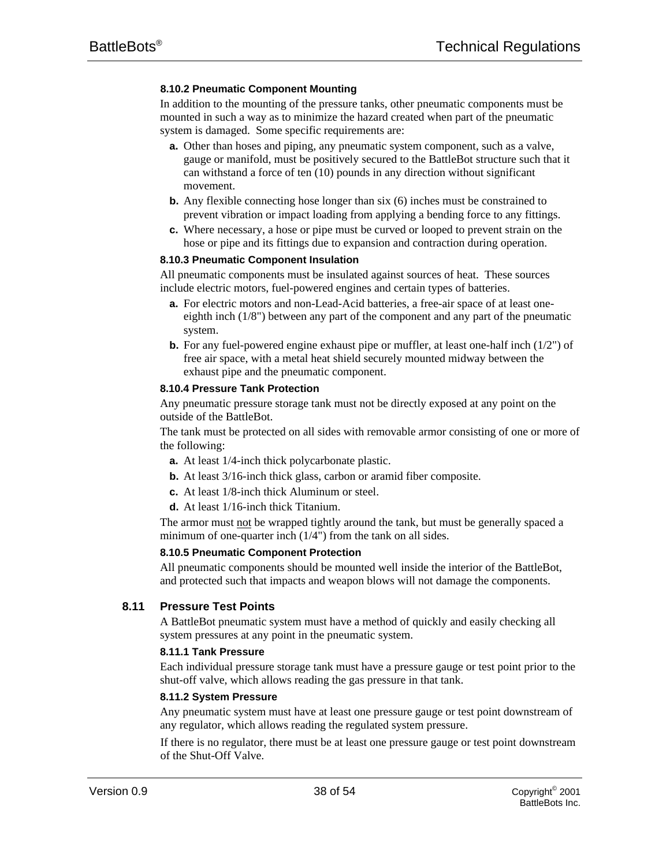# **8.10.2 Pneumatic Component Mounting**

In addition to the mounting of the pressure tanks, other pneumatic components must be mounted in such a way as to minimize the hazard created when part of the pneumatic system is damaged. Some specific requirements are:

- **a.** Other than hoses and piping, any pneumatic system component, such as a valve, gauge or manifold, must be positively secured to the BattleBot structure such that it can withstand a force of ten (10) pounds in any direction without significant movement.
- **b.** Any flexible connecting hose longer than six (6) inches must be constrained to prevent vibration or impact loading from applying a bending force to any fittings.
- **c.** Where necessary, a hose or pipe must be curved or looped to prevent strain on the hose or pipe and its fittings due to expansion and contraction during operation.

#### **8.10.3 Pneumatic Component Insulation**

All pneumatic components must be insulated against sources of heat. These sources include electric motors, fuel-powered engines and certain types of batteries.

- **a.** For electric motors and non-Lead-Acid batteries, a free-air space of at least oneeighth inch (1/8") between any part of the component and any part of the pneumatic system.
- **b.** For any fuel-powered engine exhaust pipe or muffler, at least one-half inch (1/2") of free air space, with a metal heat shield securely mounted midway between the exhaust pipe and the pneumatic component.

#### **8.10.4 Pressure Tank Protection**

Any pneumatic pressure storage tank must not be directly exposed at any point on the outside of the BattleBot.

The tank must be protected on all sides with removable armor consisting of one or more of the following:

- **a.** At least 1/4-inch thick polycarbonate plastic.
- **b.** At least 3/16-inch thick glass, carbon or aramid fiber composite.
- **c.** At least 1/8-inch thick Aluminum or steel.
- **d.** At least 1/16-inch thick Titanium.

The armor must not be wrapped tightly around the tank, but must be generally spaced a minimum of one-quarter inch (1/4") from the tank on all sides.

#### **8.10.5 Pneumatic Component Protection**

All pneumatic components should be mounted well inside the interior of the BattleBot, and protected such that impacts and weapon blows will not damage the components.

#### **8.11 Pressure Test Points**

A BattleBot pneumatic system must have a method of quickly and easily checking all system pressures at any point in the pneumatic system.

#### **8.11.1 Tank Pressure**

Each individual pressure storage tank must have a pressure gauge or test point prior to the shut-off valve, which allows reading the gas pressure in that tank.

#### **8.11.2 System Pressure**

Any pneumatic system must have at least one pressure gauge or test point downstream of any regulator, which allows reading the regulated system pressure.

If there is no regulator, there must be at least one pressure gauge or test point downstream of the Shut-Off Valve.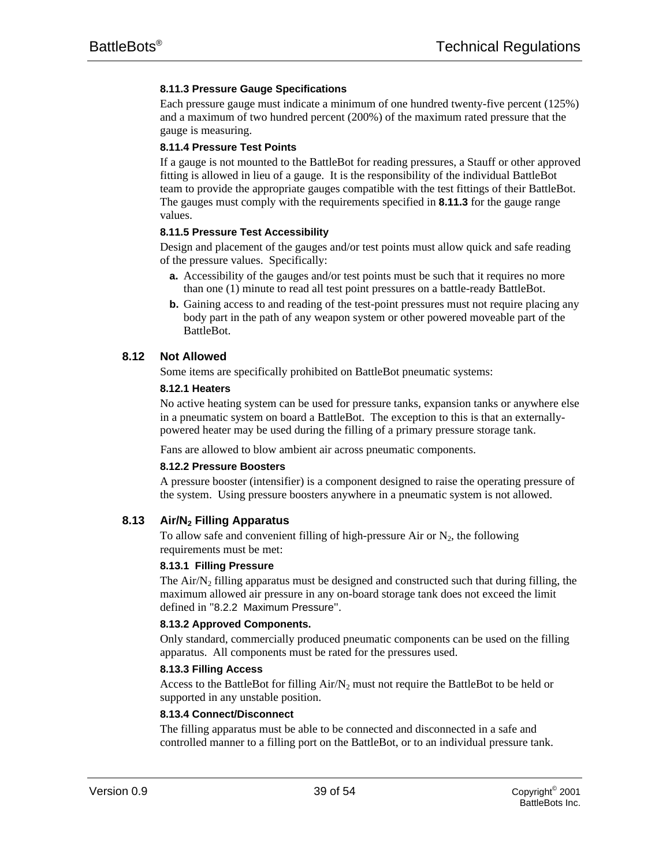# **8.11.3 Pressure Gauge Specifications**

Each pressure gauge must indicate a minimum of one hundred twenty-five percent (125%) and a maximum of two hundred percent (200%) of the maximum rated pressure that the gauge is measuring.

#### **8.11.4 Pressure Test Points**

If a gauge is not mounted to the BattleBot for reading pressures, a Stauff or other approved fitting is allowed in lieu of a gauge. It is the responsibility of the individual BattleBot team to provide the appropriate gauges compatible with the test fittings of their BattleBot. The gauges must comply with the requirements specified in **8.11.3** for the gauge range values.

#### **8.11.5 Pressure Test Accessibility**

Design and placement of the gauges and/or test points must allow quick and safe reading of the pressure values. Specifically:

- **a.** Accessibility of the gauges and/or test points must be such that it requires no more than one (1) minute to read all test point pressures on a battle-ready BattleBot.
- **b.** Gaining access to and reading of the test-point pressures must not require placing any body part in the path of any weapon system or other powered moveable part of the BattleBot.

# **8.12 Not Allowed**

Some items are specifically prohibited on BattleBot pneumatic systems:

#### **8.12.1 Heaters**

No active heating system can be used for pressure tanks, expansion tanks or anywhere else in a pneumatic system on board a BattleBot. The exception to this is that an externallypowered heater may be used during the filling of a primary pressure storage tank.

Fans are allowed to blow ambient air across pneumatic components.

#### **8.12.2 Pressure Boosters**

A pressure booster (intensifier) is a component designed to raise the operating pressure of the system. Using pressure boosters anywhere in a pneumatic system is not allowed.

#### **8.13 Air/N2 Filling Apparatus**

To allow safe and convenient filling of high-pressure Air or  $N_2$ , the following requirements must be met:

#### **8.13.1 Filling Pressure**

The Air $/N_2$  filling apparatus must be designed and constructed such that during filling, the maximum allowed air pressure in any on-board storage tank does not exceed the limit defined in "8.2.2 Maximum Pressure".

#### **8.13.2 Approved Components.**

Only standard, commercially produced pneumatic components can be used on the filling apparatus. All components must be rated for the pressures used.

#### **8.13.3 Filling Access**

Access to the BattleBot for filling  $Air/N_2$  must not require the BattleBot to be held or supported in any unstable position.

#### **8.13.4 Connect/Disconnect**

The filling apparatus must be able to be connected and disconnected in a safe and controlled manner to a filling port on the BattleBot, or to an individual pressure tank.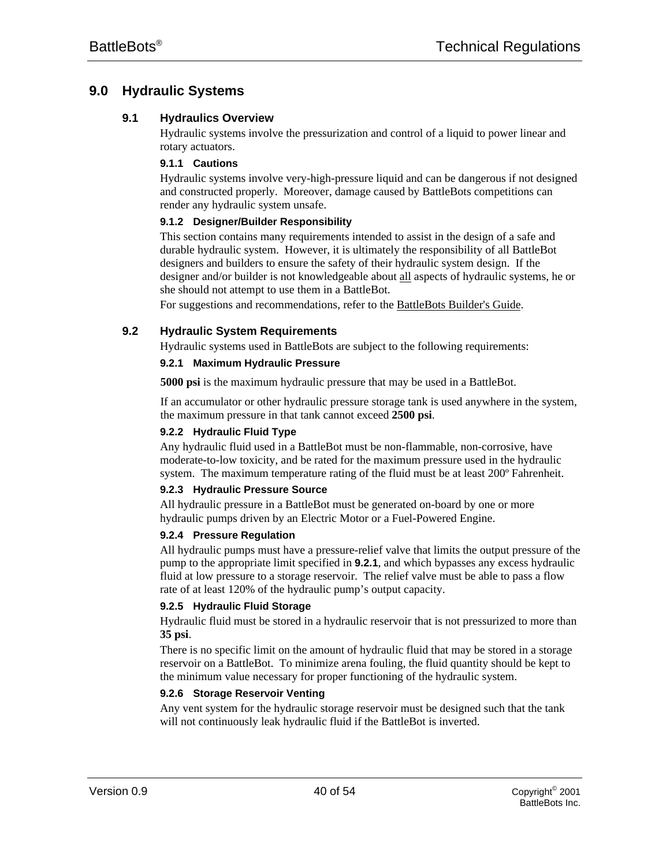# **9.0 Hydraulic Systems**

# **9.1 Hydraulics Overview**

Hydraulic systems involve the pressurization and control of a liquid to power linear and rotary actuators.

#### **9.1.1 Cautions**

Hydraulic systems involve very-high-pressure liquid and can be dangerous if not designed and constructed properly. Moreover, damage caused by BattleBots competitions can render any hydraulic system unsafe.

# **9.1.2 Designer/Builder Responsibility**

This section contains many requirements intended to assist in the design of a safe and durable hydraulic system. However, it is ultimately the responsibility of all BattleBot designers and builders to ensure the safety of their hydraulic system design. If the designer and/or builder is not knowledgeable about all aspects of hydraulic systems, he or she should not attempt to use them in a BattleBot.

For suggestions and recommendations, refer to the BattleBots Builder's Guide.

# **9.2 Hydraulic System Requirements**

Hydraulic systems used in BattleBots are subject to the following requirements:

# **9.2.1 Maximum Hydraulic Pressure**

**5000 psi** is the maximum hydraulic pressure that may be used in a BattleBot.

If an accumulator or other hydraulic pressure storage tank is used anywhere in the system, the maximum pressure in that tank cannot exceed **2500 psi**.

# **9.2.2 Hydraulic Fluid Type**

Any hydraulic fluid used in a BattleBot must be non-flammable, non-corrosive, have moderate-to-low toxicity, and be rated for the maximum pressure used in the hydraulic system. The maximum temperature rating of the fluid must be at least 200º Fahrenheit.

# **9.2.3 Hydraulic Pressure Source**

All hydraulic pressure in a BattleBot must be generated on-board by one or more hydraulic pumps driven by an Electric Motor or a Fuel-Powered Engine.

#### **9.2.4 Pressure Regulation**

All hydraulic pumps must have a pressure-relief valve that limits the output pressure of the pump to the appropriate limit specified in **9.2.1**, and which bypasses any excess hydraulic fluid at low pressure to a storage reservoir. The relief valve must be able to pass a flow rate of at least 120% of the hydraulic pump's output capacity.

#### **9.2.5 Hydraulic Fluid Storage**

Hydraulic fluid must be stored in a hydraulic reservoir that is not pressurized to more than **35 psi**.

There is no specific limit on the amount of hydraulic fluid that may be stored in a storage reservoir on a BattleBot. To minimize arena fouling, the fluid quantity should be kept to the minimum value necessary for proper functioning of the hydraulic system.

# **9.2.6 Storage Reservoir Venting**

Any vent system for the hydraulic storage reservoir must be designed such that the tank will not continuously leak hydraulic fluid if the BattleBot is inverted.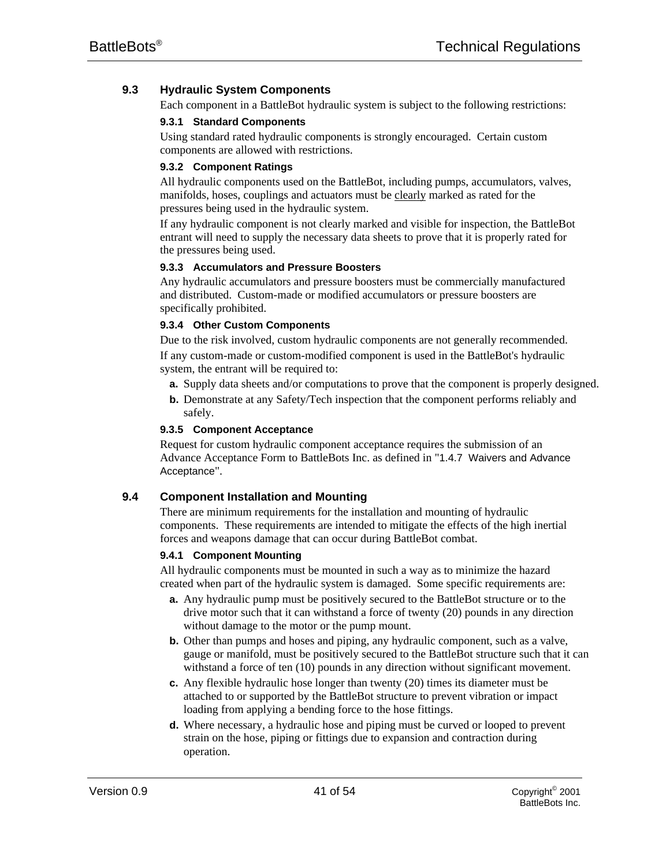# **9.3 Hydraulic System Components**

Each component in a BattleBot hydraulic system is subject to the following restrictions:

# **9.3.1 Standard Components**

Using standard rated hydraulic components is strongly encouraged. Certain custom components are allowed with restrictions.

# **9.3.2 Component Ratings**

All hydraulic components used on the BattleBot, including pumps, accumulators, valves, manifolds, hoses, couplings and actuators must be clearly marked as rated for the pressures being used in the hydraulic system.

If any hydraulic component is not clearly marked and visible for inspection, the BattleBot entrant will need to supply the necessary data sheets to prove that it is properly rated for the pressures being used.

# **9.3.3 Accumulators and Pressure Boosters**

Any hydraulic accumulators and pressure boosters must be commercially manufactured and distributed. Custom-made or modified accumulators or pressure boosters are specifically prohibited.

# **9.3.4 Other Custom Components**

Due to the risk involved, custom hydraulic components are not generally recommended. If any custom-made or custom-modified component is used in the BattleBot's hydraulic system, the entrant will be required to:

- **a.** Supply data sheets and/or computations to prove that the component is properly designed.
- **b.** Demonstrate at any Safety/Tech inspection that the component performs reliably and safely.

# **9.3.5 Component Acceptance**

Request for custom hydraulic component acceptance requires the submission of an Advance Acceptance Form to BattleBots Inc. as defined in "1.4.7 Waivers and Advance Acceptance".

# **9.4 Component Installation and Mounting**

There are minimum requirements for the installation and mounting of hydraulic components. These requirements are intended to mitigate the effects of the high inertial forces and weapons damage that can occur during BattleBot combat.

#### **9.4.1 Component Mounting**

All hydraulic components must be mounted in such a way as to minimize the hazard created when part of the hydraulic system is damaged. Some specific requirements are:

- **a.** Any hydraulic pump must be positively secured to the BattleBot structure or to the drive motor such that it can withstand a force of twenty (20) pounds in any direction without damage to the motor or the pump mount.
- **b.** Other than pumps and hoses and piping, any hydraulic component, such as a valve, gauge or manifold, must be positively secured to the BattleBot structure such that it can withstand a force of ten (10) pounds in any direction without significant movement.
- **c.** Any flexible hydraulic hose longer than twenty (20) times its diameter must be attached to or supported by the BattleBot structure to prevent vibration or impact loading from applying a bending force to the hose fittings.
- **d.** Where necessary, a hydraulic hose and piping must be curved or looped to prevent strain on the hose, piping or fittings due to expansion and contraction during operation.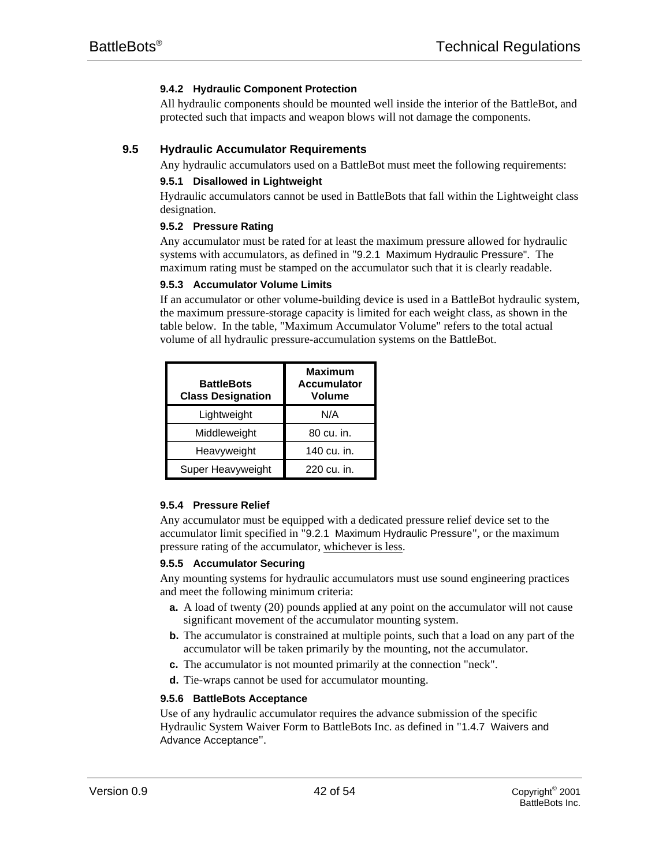# **9.4.2 Hydraulic Component Protection**

All hydraulic components should be mounted well inside the interior of the BattleBot, and protected such that impacts and weapon blows will not damage the components.

# **9.5 Hydraulic Accumulator Requirements**

Any hydraulic accumulators used on a BattleBot must meet the following requirements:

# **9.5.1 Disallowed in Lightweight**

Hydraulic accumulators cannot be used in BattleBots that fall within the Lightweight class designation.

# **9.5.2 Pressure Rating**

Any accumulator must be rated for at least the maximum pressure allowed for hydraulic systems with accumulators, as defined in "9.2.1 Maximum Hydraulic Pressure". The maximum rating must be stamped on the accumulator such that it is clearly readable.

#### **9.5.3 Accumulator Volume Limits**

If an accumulator or other volume-building device is used in a BattleBot hydraulic system, the maximum pressure-storage capacity is limited for each weight class, as shown in the table below. In the table, "Maximum Accumulator Volume" refers to the total actual volume of all hydraulic pressure-accumulation systems on the BattleBot.

| <b>BattleBots</b><br><b>Class Designation</b> | <b>Maximum</b><br><b>Accumulator</b><br><b>Volume</b> |
|-----------------------------------------------|-------------------------------------------------------|
| Lightweight                                   | N/A                                                   |
| Middleweight                                  | 80 cu. in.                                            |
| Heavyweight                                   | 140 cu. in.                                           |
| Super Heavyweight                             | 220 cu. in.                                           |

# **9.5.4 Pressure Relief**

Any accumulator must be equipped with a dedicated pressure relief device set to the accumulator limit specified in "9.2.1 Maximum Hydraulic Pressure", or the maximum pressure rating of the accumulator, whichever is less.

#### **9.5.5 Accumulator Securing**

Any mounting systems for hydraulic accumulators must use sound engineering practices and meet the following minimum criteria:

- **a.** A load of twenty (20) pounds applied at any point on the accumulator will not cause significant movement of the accumulator mounting system.
- **b.** The accumulator is constrained at multiple points, such that a load on any part of the accumulator will be taken primarily by the mounting, not the accumulator.
- **c.** The accumulator is not mounted primarily at the connection "neck".
- **d.** Tie-wraps cannot be used for accumulator mounting.

#### **9.5.6 BattleBots Acceptance**

Use of any hydraulic accumulator requires the advance submission of the specific Hydraulic System Waiver Form to BattleBots Inc. as defined in "1.4.7 Waivers and Advance Acceptance".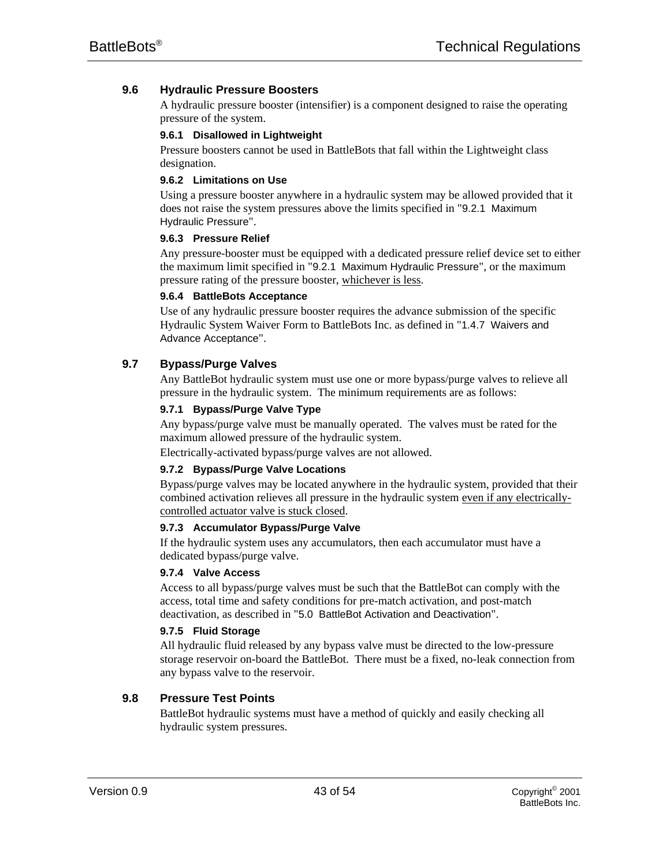# **9.6 Hydraulic Pressure Boosters**

A hydraulic pressure booster (intensifier) is a component designed to raise the operating pressure of the system.

#### **9.6.1 Disallowed in Lightweight**

Pressure boosters cannot be used in BattleBots that fall within the Lightweight class designation.

#### **9.6.2 Limitations on Use**

Using a pressure booster anywhere in a hydraulic system may be allowed provided that it does not raise the system pressures above the limits specified in "9.2.1 Maximum Hydraulic Pressure".

# **9.6.3 Pressure Relief**

Any pressure-booster must be equipped with a dedicated pressure relief device set to either the maximum limit specified in "9.2.1 Maximum Hydraulic Pressure", or the maximum pressure rating of the pressure booster, whichever is less.

# **9.6.4 BattleBots Acceptance**

Use of any hydraulic pressure booster requires the advance submission of the specific Hydraulic System Waiver Form to BattleBots Inc. as defined in "1.4.7 Waivers and Advance Acceptance".

# **9.7 Bypass/Purge Valves**

Any BattleBot hydraulic system must use one or more bypass/purge valves to relieve all pressure in the hydraulic system. The minimum requirements are as follows:

# **9.7.1 Bypass/Purge Valve Type**

Any bypass/purge valve must be manually operated. The valves must be rated for the maximum allowed pressure of the hydraulic system.

Electrically-activated bypass/purge valves are not allowed.

#### **9.7.2 Bypass/Purge Valve Locations**

Bypass/purge valves may be located anywhere in the hydraulic system, provided that their combined activation relieves all pressure in the hydraulic system even if any electricallycontrolled actuator valve is stuck closed.

#### **9.7.3 Accumulator Bypass/Purge Valve**

If the hydraulic system uses any accumulators, then each accumulator must have a dedicated bypass/purge valve.

#### **9.7.4 Valve Access**

Access to all bypass/purge valves must be such that the BattleBot can comply with the access, total time and safety conditions for pre-match activation, and post-match deactivation, as described in "5.0 BattleBot Activation and Deactivation".

#### **9.7.5 Fluid Storage**

All hydraulic fluid released by any bypass valve must be directed to the low-pressure storage reservoir on-board the BattleBot. There must be a fixed, no-leak connection from any bypass valve to the reservoir.

# **9.8 Pressure Test Points**

BattleBot hydraulic systems must have a method of quickly and easily checking all hydraulic system pressures.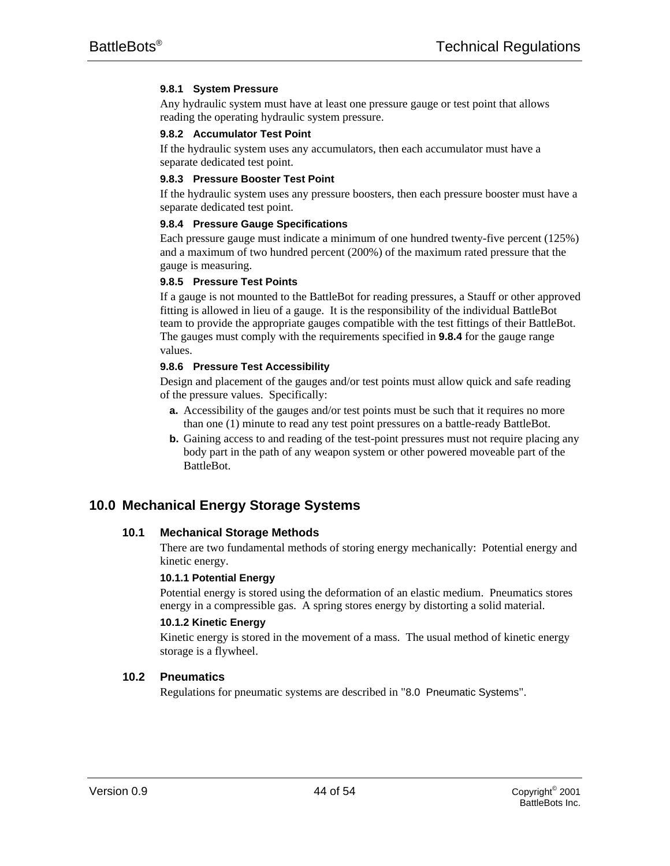# **9.8.1 System Pressure**

Any hydraulic system must have at least one pressure gauge or test point that allows reading the operating hydraulic system pressure.

#### **9.8.2 Accumulator Test Point**

If the hydraulic system uses any accumulators, then each accumulator must have a separate dedicated test point.

#### **9.8.3 Pressure Booster Test Point**

If the hydraulic system uses any pressure boosters, then each pressure booster must have a separate dedicated test point.

#### **9.8.4 Pressure Gauge Specifications**

Each pressure gauge must indicate a minimum of one hundred twenty-five percent (125%) and a maximum of two hundred percent (200%) of the maximum rated pressure that the gauge is measuring.

#### **9.8.5 Pressure Test Points**

If a gauge is not mounted to the BattleBot for reading pressures, a Stauff or other approved fitting is allowed in lieu of a gauge. It is the responsibility of the individual BattleBot team to provide the appropriate gauges compatible with the test fittings of their BattleBot. The gauges must comply with the requirements specified in **9.8.4** for the gauge range values.

#### **9.8.6 Pressure Test Accessibility**

Design and placement of the gauges and/or test points must allow quick and safe reading of the pressure values. Specifically:

- **a.** Accessibility of the gauges and/or test points must be such that it requires no more than one (1) minute to read any test point pressures on a battle-ready BattleBot.
- **b.** Gaining access to and reading of the test-point pressures must not require placing any body part in the path of any weapon system or other powered moveable part of the BattleBot.

# **10.0 Mechanical Energy Storage Systems**

#### **10.1 Mechanical Storage Methods**

There are two fundamental methods of storing energy mechanically: Potential energy and kinetic energy.

#### **10.1.1 Potential Energy**

Potential energy is stored using the deformation of an elastic medium. Pneumatics stores energy in a compressible gas. A spring stores energy by distorting a solid material.

#### **10.1.2 Kinetic Energy**

Kinetic energy is stored in the movement of a mass. The usual method of kinetic energy storage is a flywheel.

#### **10.2 Pneumatics**

Regulations for pneumatic systems are described in "8.0 Pneumatic Systems".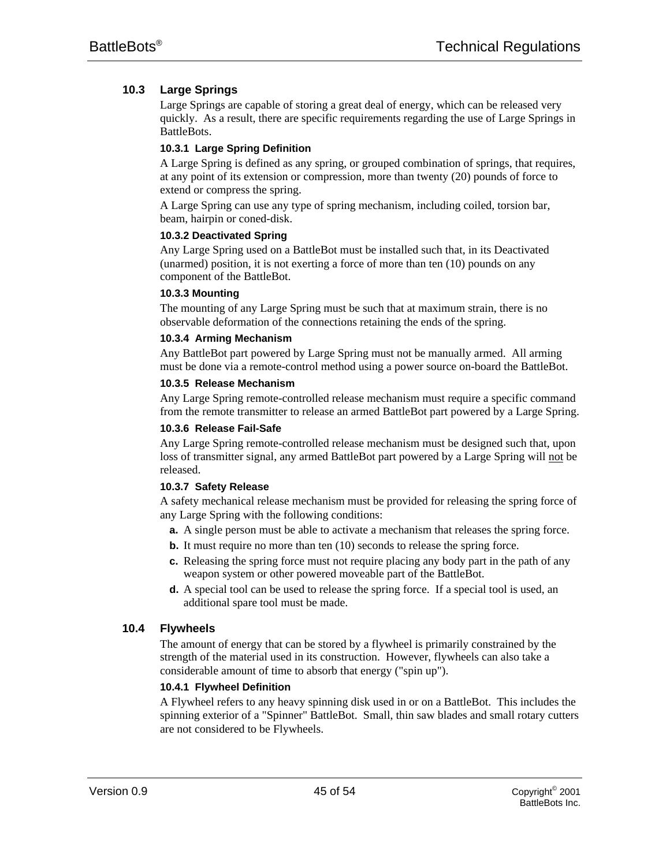# **10.3 Large Springs**

Large Springs are capable of storing a great deal of energy, which can be released very quickly. As a result, there are specific requirements regarding the use of Large Springs in BattleBots.

# **10.3.1 Large Spring Definition**

A Large Spring is defined as any spring, or grouped combination of springs, that requires, at any point of its extension or compression, more than twenty (20) pounds of force to extend or compress the spring.

A Large Spring can use any type of spring mechanism, including coiled, torsion bar, beam, hairpin or coned-disk.

# **10.3.2 Deactivated Spring**

Any Large Spring used on a BattleBot must be installed such that, in its Deactivated (unarmed) position, it is not exerting a force of more than ten (10) pounds on any component of the BattleBot.

# **10.3.3 Mounting**

The mounting of any Large Spring must be such that at maximum strain, there is no observable deformation of the connections retaining the ends of the spring.

# **10.3.4 Arming Mechanism**

Any BattleBot part powered by Large Spring must not be manually armed. All arming must be done via a remote-control method using a power source on-board the BattleBot.

# **10.3.5 Release Mechanism**

Any Large Spring remote-controlled release mechanism must require a specific command from the remote transmitter to release an armed BattleBot part powered by a Large Spring.

#### **10.3.6 Release Fail-Safe**

Any Large Spring remote-controlled release mechanism must be designed such that, upon loss of transmitter signal, any armed BattleBot part powered by a Large Spring will not be released.

# **10.3.7 Safety Release**

A safety mechanical release mechanism must be provided for releasing the spring force of any Large Spring with the following conditions:

- **a.** A single person must be able to activate a mechanism that releases the spring force.
- **b.** It must require no more than ten (10) seconds to release the spring force.
- **c.** Releasing the spring force must not require placing any body part in the path of any weapon system or other powered moveable part of the BattleBot.
- **d.** A special tool can be used to release the spring force. If a special tool is used, an additional spare tool must be made.

# **10.4 Flywheels**

The amount of energy that can be stored by a flywheel is primarily constrained by the strength of the material used in its construction. However, flywheels can also take a considerable amount of time to absorb that energy ("spin up").

# **10.4.1 Flywheel Definition**

A Flywheel refers to any heavy spinning disk used in or on a BattleBot. This includes the spinning exterior of a "Spinner" BattleBot. Small, thin saw blades and small rotary cutters are not considered to be Flywheels.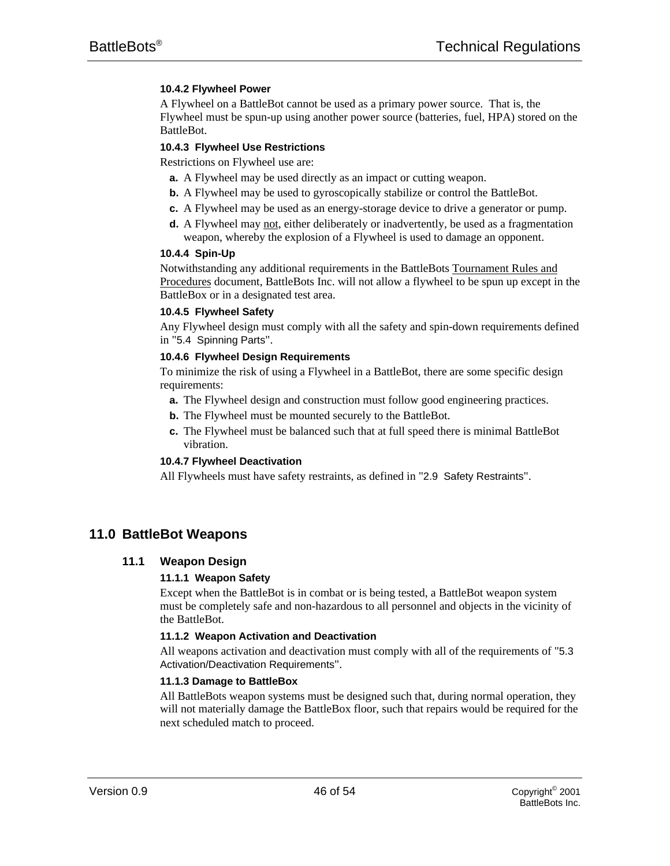# **10.4.2 Flywheel Power**

A Flywheel on a BattleBot cannot be used as a primary power source. That is, the Flywheel must be spun-up using another power source (batteries, fuel, HPA) stored on the BattleBot.

#### **10.4.3 Flywheel Use Restrictions**

Restrictions on Flywheel use are:

- **a.** A Flywheel may be used directly as an impact or cutting weapon.
- **b.** A Flywheel may be used to gyroscopically stabilize or control the BattleBot.
- **c.** A Flywheel may be used as an energy-storage device to drive a generator or pump.
- **d.** A Flywheel may not, either deliberately or inadvertently, be used as a fragmentation weapon, whereby the explosion of a Flywheel is used to damage an opponent.

#### **10.4.4 Spin-Up**

Notwithstanding any additional requirements in the BattleBots Tournament Rules and Procedures document, BattleBots Inc. will not allow a flywheel to be spun up except in the BattleBox or in a designated test area.

#### **10.4.5 Flywheel Safety**

Any Flywheel design must comply with all the safety and spin-down requirements defined in "5.4 Spinning Parts".

# **10.4.6 Flywheel Design Requirements**

To minimize the risk of using a Flywheel in a BattleBot, there are some specific design requirements:

- **a.** The Flywheel design and construction must follow good engineering practices.
- **b.** The Flywheel must be mounted securely to the BattleBot.
- **c.** The Flywheel must be balanced such that at full speed there is minimal BattleBot vibration.

#### **10.4.7 Flywheel Deactivation**

All Flywheels must have safety restraints, as defined in "2.9 Safety Restraints".

# **11.0 BattleBot Weapons**

# **11.1 Weapon Design**

#### **11.1.1 Weapon Safety**

Except when the BattleBot is in combat or is being tested, a BattleBot weapon system must be completely safe and non-hazardous to all personnel and objects in the vicinity of the BattleBot.

#### **11.1.2 Weapon Activation and Deactivation**

All weapons activation and deactivation must comply with all of the requirements of "5.3 Activation/Deactivation Requirements".

#### **11.1.3 Damage to BattleBox**

All BattleBots weapon systems must be designed such that, during normal operation, they will not materially damage the BattleBox floor, such that repairs would be required for the next scheduled match to proceed.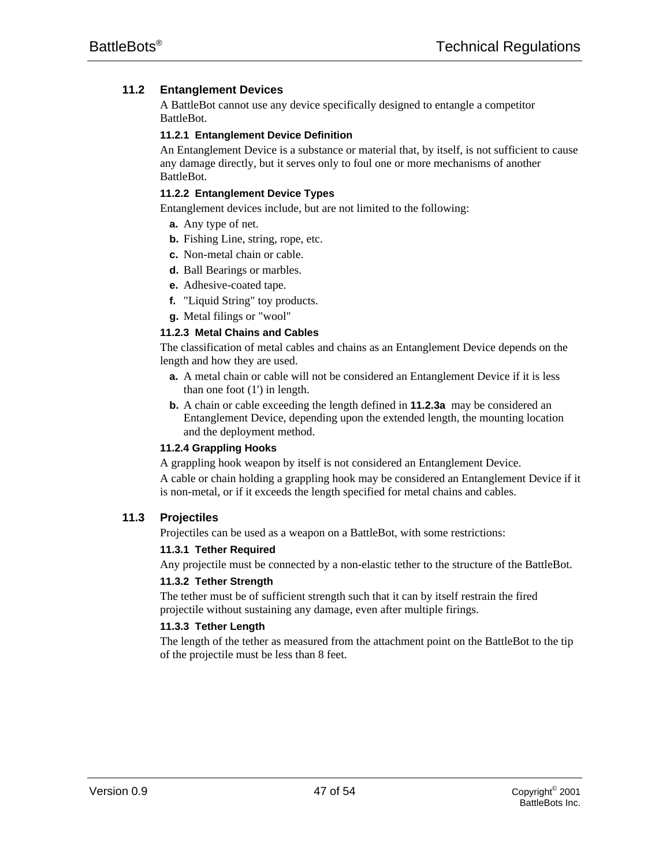# **11.2 Entanglement Devices**

A BattleBot cannot use any device specifically designed to entangle a competitor BattleBot.

# **11.2.1 Entanglement Device Definition**

An Entanglement Device is a substance or material that, by itself, is not sufficient to cause any damage directly, but it serves only to foul one or more mechanisms of another BattleBot.

# **11.2.2 Entanglement Device Types**

Entanglement devices include, but are not limited to the following:

- **a.** Any type of net.
- **b.** Fishing Line, string, rope, etc.
- **c.** Non-metal chain or cable.
- **d.** Ball Bearings or marbles.
- **e.** Adhesive-coated tape.
- **f.** "Liquid String" toy products.
- **g.** Metal filings or "wool"

# **11.2.3 Metal Chains and Cables**

The classification of metal cables and chains as an Entanglement Device depends on the length and how they are used.

- **a.** A metal chain or cable will not be considered an Entanglement Device if it is less than one foot (1') in length.
- **b.** A chain or cable exceeding the length defined in **11.2.3a** may be considered an Entanglement Device, depending upon the extended length, the mounting location and the deployment method.

#### **11.2.4 Grappling Hooks**

A grappling hook weapon by itself is not considered an Entanglement Device.

A cable or chain holding a grappling hook may be considered an Entanglement Device if it is non-metal, or if it exceeds the length specified for metal chains and cables.

# **11.3 Projectiles**

Projectiles can be used as a weapon on a BattleBot, with some restrictions:

#### **11.3.1 Tether Required**

Any projectile must be connected by a non-elastic tether to the structure of the BattleBot.

#### **11.3.2 Tether Strength**

The tether must be of sufficient strength such that it can by itself restrain the fired projectile without sustaining any damage, even after multiple firings.

#### **11.3.3 Tether Length**

The length of the tether as measured from the attachment point on the BattleBot to the tip of the projectile must be less than 8 feet.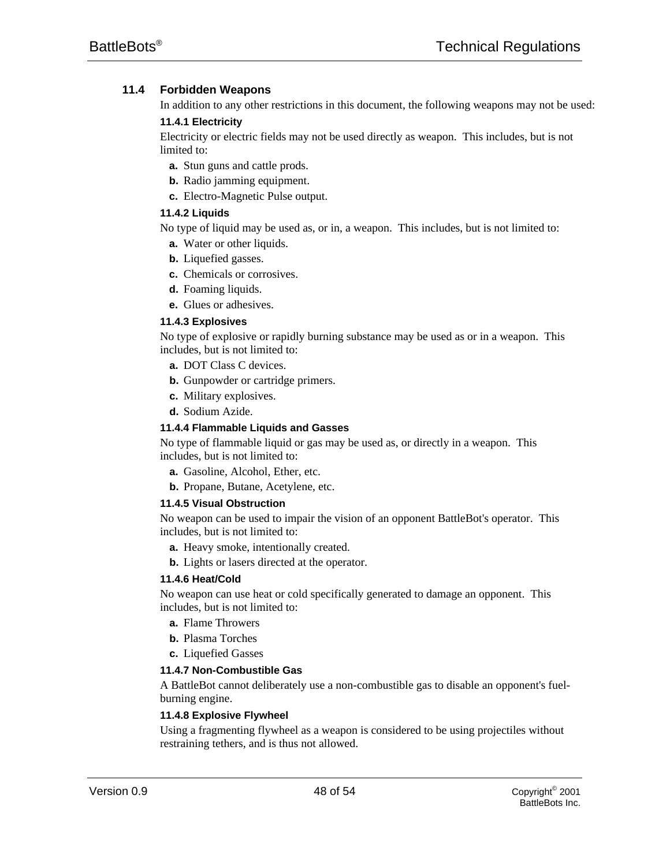# **11.4 Forbidden Weapons**

In addition to any other restrictions in this document, the following weapons may not be used:

#### **11.4.1 Electricity**

Electricity or electric fields may not be used directly as weapon. This includes, but is not limited to:

- **a.** Stun guns and cattle prods.
- **b.** Radio jamming equipment.
- **c.** Electro-Magnetic Pulse output.

# **11.4.2 Liquids**

No type of liquid may be used as, or in, a weapon. This includes, but is not limited to:

- **a.** Water or other liquids.
- **b.** Liquefied gasses.
- **c.** Chemicals or corrosives.
- **d.** Foaming liquids.
- **e.** Glues or adhesives.

# **11.4.3 Explosives**

No type of explosive or rapidly burning substance may be used as or in a weapon. This includes, but is not limited to:

- **a.** DOT Class C devices.
- **b.** Gunpowder or cartridge primers.
- **c.** Military explosives.
- **d.** Sodium Azide.

#### **11.4.4 Flammable Liquids and Gasses**

No type of flammable liquid or gas may be used as, or directly in a weapon. This includes, but is not limited to:

- **a.** Gasoline, Alcohol, Ether, etc.
- **b.** Propane, Butane, Acetylene, etc.

#### **11.4.5 Visual Obstruction**

No weapon can be used to impair the vision of an opponent BattleBot's operator. This includes, but is not limited to:

- **a.** Heavy smoke, intentionally created.
- **b.** Lights or lasers directed at the operator.

#### **11.4.6 Heat/Cold**

No weapon can use heat or cold specifically generated to damage an opponent. This includes, but is not limited to:

- **a.** Flame Throwers
- **b.** Plasma Torches
- **c.** Liquefied Gasses

#### **11.4.7 Non-Combustible Gas**

A BattleBot cannot deliberately use a non-combustible gas to disable an opponent's fuelburning engine.

#### **11.4.8 Explosive Flywheel**

Using a fragmenting flywheel as a weapon is considered to be using projectiles without restraining tethers, and is thus not allowed.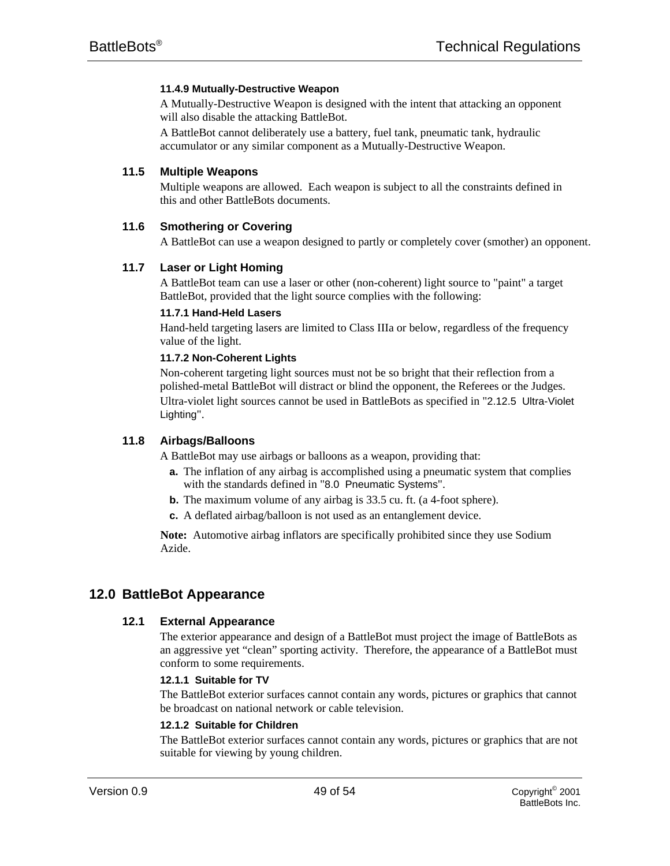# **11.4.9 Mutually-Destructive Weapon**

A Mutually-Destructive Weapon is designed with the intent that attacking an opponent will also disable the attacking BattleBot.

A BattleBot cannot deliberately use a battery, fuel tank, pneumatic tank, hydraulic accumulator or any similar component as a Mutually-Destructive Weapon.

# **11.5 Multiple Weapons**

Multiple weapons are allowed. Each weapon is subject to all the constraints defined in this and other BattleBots documents.

# **11.6 Smothering or Covering**

A BattleBot can use a weapon designed to partly or completely cover (smother) an opponent.

# **11.7 Laser or Light Homing**

A BattleBot team can use a laser or other (non-coherent) light source to "paint" a target BattleBot, provided that the light source complies with the following:

# **11.7.1 Hand-Held Lasers**

Hand-held targeting lasers are limited to Class IIIa or below, regardless of the frequency value of the light.

# **11.7.2 Non-Coherent Lights**

Non-coherent targeting light sources must not be so bright that their reflection from a polished-metal BattleBot will distract or blind the opponent, the Referees or the Judges. Ultra-violet light sources cannot be used in BattleBots as specified in "2.12.5 Ultra-Violet Lighting".

# **11.8 Airbags/Balloons**

A BattleBot may use airbags or balloons as a weapon, providing that:

- **a.** The inflation of any airbag is accomplished using a pneumatic system that complies with the standards defined in "8.0 Pneumatic Systems".
- **b.** The maximum volume of any airbag is 33.5 cu. ft. (a 4-foot sphere).
- **c.** A deflated airbag/balloon is not used as an entanglement device.

**Note:** Automotive airbag inflators are specifically prohibited since they use Sodium Azide.

# **12.0 BattleBot Appearance**

# **12.1 External Appearance**

The exterior appearance and design of a BattleBot must project the image of BattleBots as an aggressive yet "clean" sporting activity. Therefore, the appearance of a BattleBot must conform to some requirements.

#### **12.1.1 Suitable for TV**

The BattleBot exterior surfaces cannot contain any words, pictures or graphics that cannot be broadcast on national network or cable television.

#### **12.1.2 Suitable for Children**

The BattleBot exterior surfaces cannot contain any words, pictures or graphics that are not suitable for viewing by young children.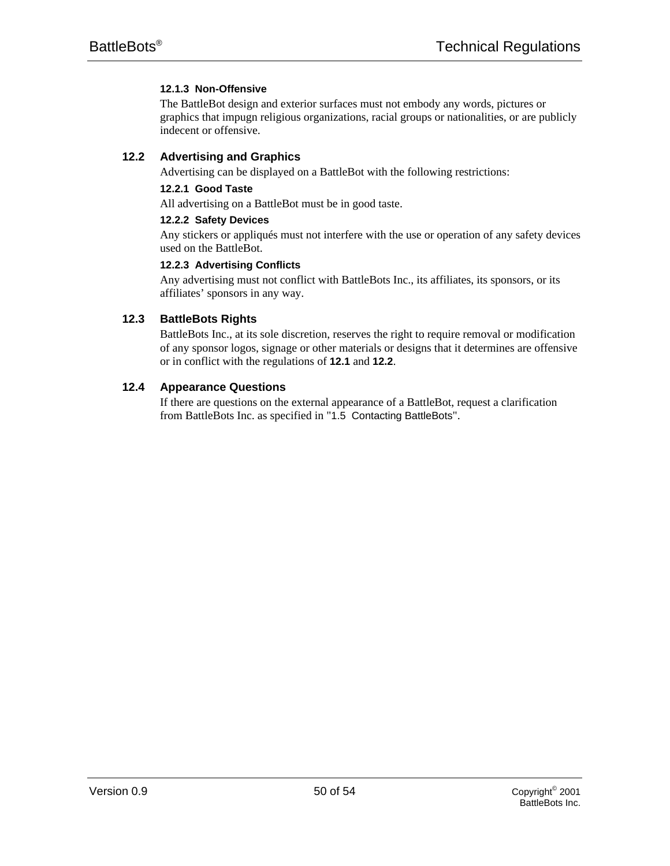# **12.1.3 Non-Offensive**

The BattleBot design and exterior surfaces must not embody any words, pictures or graphics that impugn religious organizations, racial groups or nationalities, or are publicly indecent or offensive.

# **12.2 Advertising and Graphics**

Advertising can be displayed on a BattleBot with the following restrictions:

# **12.2.1 Good Taste**

All advertising on a BattleBot must be in good taste.

# **12.2.2 Safety Devices**

Any stickers or appliqués must not interfere with the use or operation of any safety devices used on the BattleBot.

# **12.2.3 Advertising Conflicts**

Any advertising must not conflict with BattleBots Inc., its affiliates, its sponsors, or its affiliates' sponsors in any way.

# **12.3 BattleBots Rights**

BattleBots Inc., at its sole discretion, reserves the right to require removal or modification of any sponsor logos, signage or other materials or designs that it determines are offensive or in conflict with the regulations of **12.1** and **12.2**.

# **12.4 Appearance Questions**

If there are questions on the external appearance of a BattleBot, request a clarification from BattleBots Inc. as specified in "1.5 Contacting BattleBots".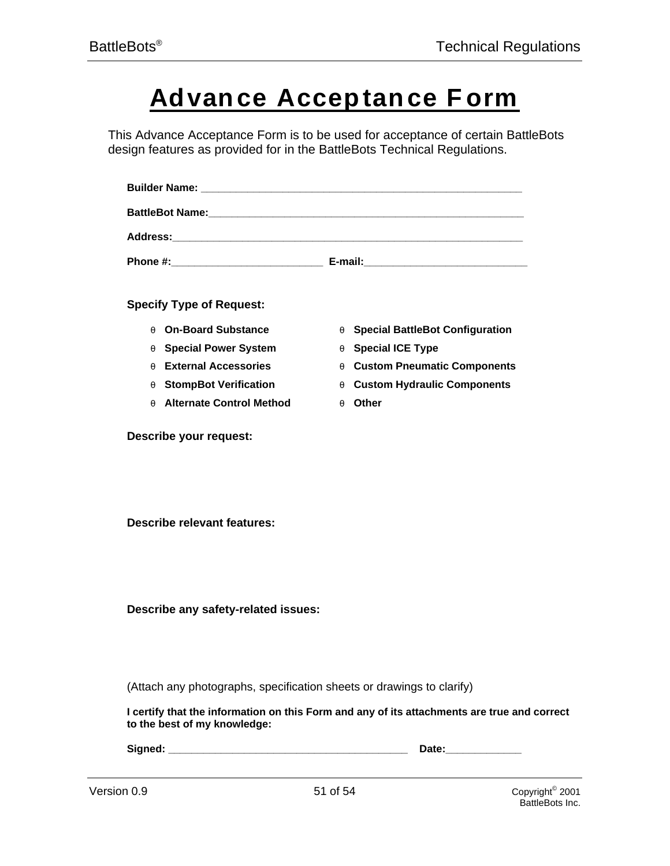# **Advance Accep tance Form**

This Advance Acceptance Form is to be used for acceptance of certain BattleBots design features as provided for in the BattleBots Technical Regulations.

| <b>Specify Type of Request:</b>                                                                                             |                                        |                                                |
|-----------------------------------------------------------------------------------------------------------------------------|----------------------------------------|------------------------------------------------|
| <b>On-Board Substance</b>                                                                                                   | <b>Special BattleBot Configuration</b> |                                                |
| <b>Special Power System</b>                                                                                                 | <b>Special ICE Type</b>                |                                                |
| <b>External Accessories</b>                                                                                                 | <b>Custom Pneumatic Components</b>     |                                                |
| <b>StompBot Verification</b>                                                                                                | <b>Custom Hydraulic Components</b>     |                                                |
| <b>Alternate Control Method</b>                                                                                             | <b>Other</b>                           |                                                |
| Describe your request:                                                                                                      |                                        |                                                |
| <b>Describe relevant features:</b>                                                                                          |                                        |                                                |
| Describe any safety-related issues:                                                                                         |                                        |                                                |
| (Attach any photographs, specification sheets or drawings to clarify)                                                       |                                        |                                                |
| I certify that the information on this Form and any of its attachments are true and correct<br>to the best of my knowledge: |                                        |                                                |
|                                                                                                                             |                                        | Date: ______________                           |
| Version 0.9                                                                                                                 | 51 of 54                               | Copyright <sup>®</sup> 2001<br>BattleBots Inc. |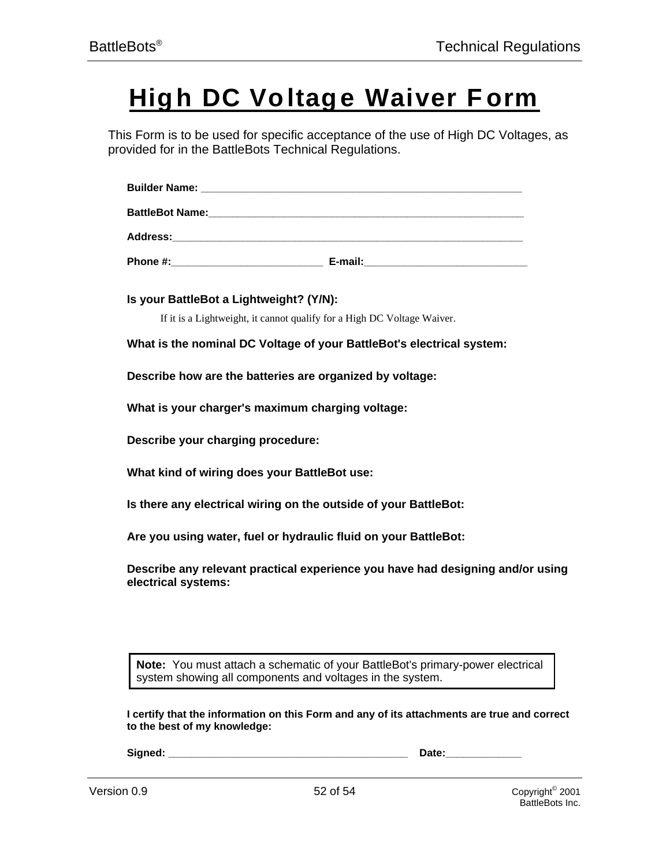# **High DC Voltage Waiver Form**

This Form is to be used for specific acceptance of the use of High DC Voltages, as provided for in the BattleBots Technical Regulations.

| <b>Builder Name:</b>   |  |
|------------------------|--|
| <b>BattleBot Name:</b> |  |
| <b>Address:</b>        |  |

**Phone #:\_\_\_\_\_\_\_\_\_\_\_\_\_\_\_\_\_\_\_\_\_\_\_\_\_\_ E-mail:\_\_\_\_\_\_\_\_\_\_\_\_\_\_\_\_\_\_\_\_\_\_\_\_\_\_\_\_**

**Is your BattleBot a Lightweight? (Y/N):**

If it is a Lightweight, it cannot qualify for a High DC Voltage Waiver.

**What is the nominal DC Voltage of your BattleBot's electrical system:**

**Describe how are the batteries are organized by voltage:**

**What is your charger's maximum charging voltage:**

**Describe your charging procedure:**

**What kind of wiring does your BattleBot use:**

**Is there any electrical wiring on the outside of your BattleBot:**

**Are you using water, fuel or hydraulic fluid on your BattleBot:**

**Describe any relevant practical experience you have had designing and/or using electrical systems:**

**Note:** You must attach a schematic of your BattleBot's primary-power electrical system showing all components and voltages in the system.

**I certify that the information on this Form and any of its attachments are true and correct to the best of my knowledge:**

**Signed: \_\_\_\_\_\_\_\_\_\_\_\_\_\_\_\_\_\_\_\_\_\_\_\_\_\_\_\_\_\_\_\_\_\_\_\_\_\_\_\_\_ Date:\_\_\_\_\_\_\_\_\_\_\_\_\_**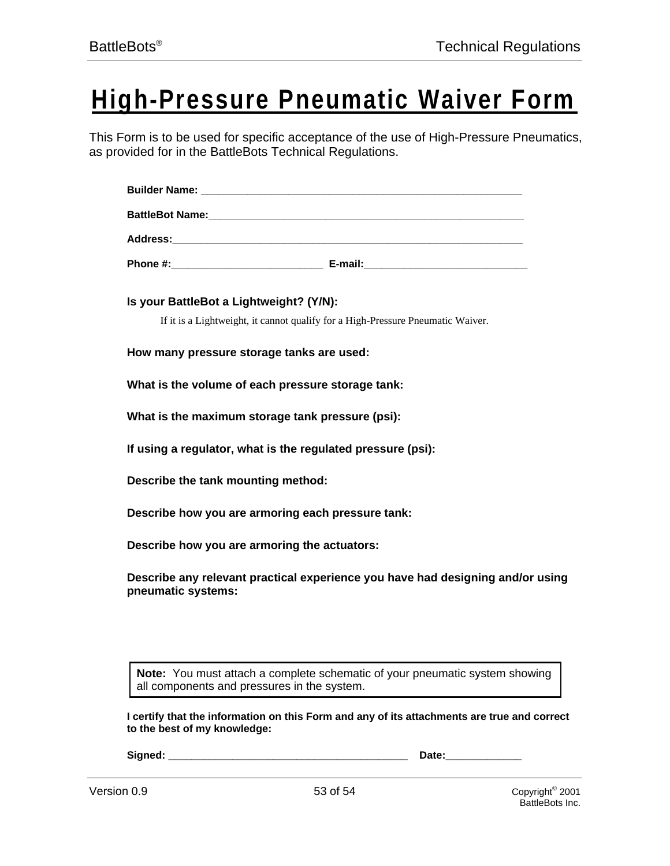# **High-Pressure Pneumatic Waiver Form**

This Form is to be used for specific acceptance of the use of High-Pressure Pneumatics, as provided for in the BattleBots Technical Regulations.

**Is your BattleBot a Lightweight? (Y/N):**

If it is a Lightweight, it cannot qualify for a High-Pressure Pneumatic Waiver.

**How many pressure storage tanks are used:**

**What is the volume of each pressure storage tank:**

**What is the maximum storage tank pressure (psi):**

**If using a regulator, what is the regulated pressure (psi):**

**Describe the tank mounting method:**

**Describe how you are armoring each pressure tank:**

**Describe how you are armoring the actuators:**

**Describe any relevant practical experience you have had designing and/or using pneumatic systems:**

**Note:** You must attach a complete schematic of your pneumatic system showing all components and pressures in the system.

**I certify that the information on this Form and any of its attachments are true and correct to the best of my knowledge:**

**Signed: \_\_\_\_\_\_\_\_\_\_\_\_\_\_\_\_\_\_\_\_\_\_\_\_\_\_\_\_\_\_\_\_\_\_\_\_\_\_\_\_\_ Date:\_\_\_\_\_\_\_\_\_\_\_\_\_**